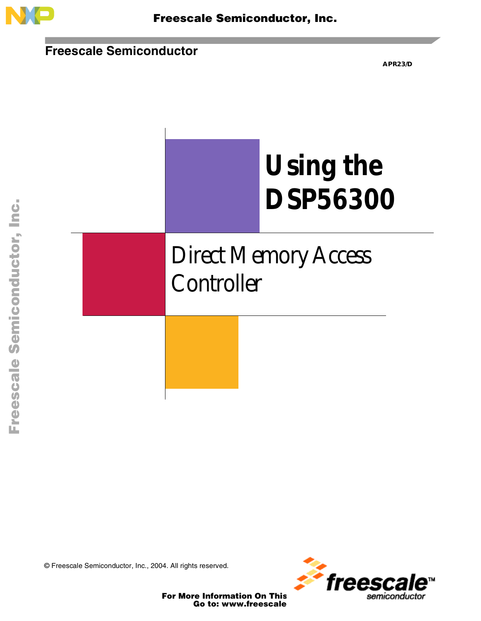

**APR23/D**



© Freescale Semiconductor, Inc., 2004. All rights reserved.

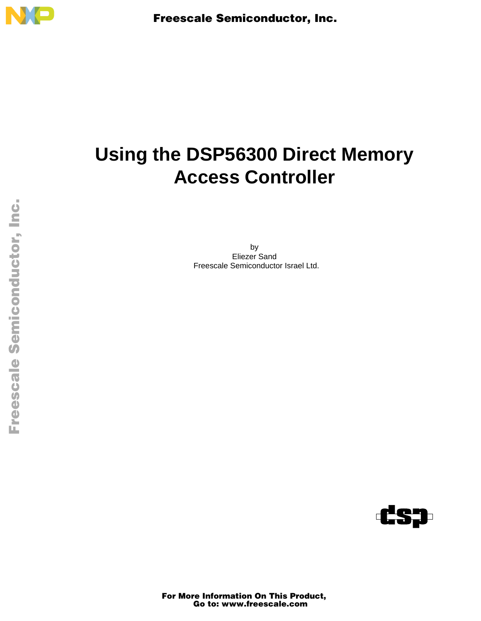

 Freescale Semiconductor, Inc.

# **Using the DSP56300 Direct Memory Access Controller**

by Eliezer Sand Freescale Semiconductor Israel Ltd.

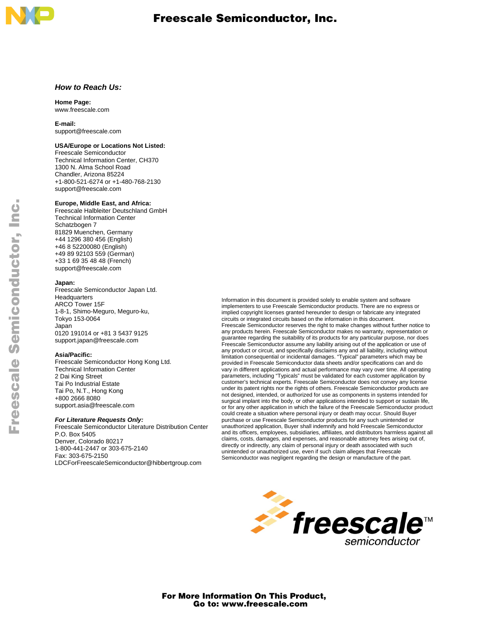

#### *How to Reach Us:*

**Home Page:**  www.freescale.com

**E-mail:**  support@freescale.com

#### **USA/Europe or Locations Not Listed:**

Freescale Semiconductor Technical Information Center, CH370 1300 N. Alma School Road Chandler, Arizona 85224 +1-800-521-6274 or +1-480-768-2130 support@freescale.com

#### **Europe, Middle East, and Africa:**

Freescale Halbleiter Deutschland GmbH Technical Information Center Schatzbogen 7 81829 Muenchen, Germany +44 1296 380 456 (English) +46 8 52200080 (English) +49 89 92103 559 (German) +33 1 69 35 48 48 (French) support@freescale.com

#### **Japan:**

Freescale Semiconductor Japan Ltd. **Headquarters** ARCO Tower 15F 1-8-1, Shimo-Meguro, Meguro-ku, Tokyo 153-0064 Japan 0120 191014 or +81 3 5437 9125 support.japan@freescale.com

#### **Asia/Pacific:**

Freescale Semiconductor Hong Kong Ltd. Technical Information Center 2 Dai King Street Tai Po Industrial Estate Tai Po, N.T., Hong Kong +800 2666 8080 support.asia@freescale.com

#### *For Literature Requests Only:*

Freescale Semiconductor Literature Distribution Center P.O. Box 5405 Denver, Colorado 80217 1-800-441-2447 or 303-675-2140 Fax: 303-675-2150 LDCForFreescaleSemiconductor@hibbertgroup.com

Information in this document is provided solely to enable system and software implementers to use Freescale Semiconductor products. There are no express or implied copyright licenses granted hereunder to design or fabricate any integrated circuits or integrated circuits based on the information in this document. Freescale Semiconductor reserves the right to make changes without further notice to any products herein. Freescale Semiconductor makes no warranty, representation or guarantee regarding the suitability of its products for any particular purpose, nor does Freescale Semiconductor assume any liability arising out of the application or use of any product or circuit, and specifically disclaims any and all liability, including without limitation consequential or incidental damages. "Typical" parameters which may be provided in Freescale Semiconductor data sheets and/or specifications can and do vary in different applications and actual performance may vary over time. All operating parameters, including "Typicals" must be validated for each customer application by customer's technical experts. Freescale Semiconductor does not convey any license under its patent rights nor the rights of others. Freescale Semiconductor products are not designed, intended, or authorized for use as components in systems intended for surgical implant into the body, or other applications intended to support or sustain life, or for any other application in which the failure of the Freescale Semiconductor product could create a situation where personal injury or death may occur. Should Buyer purchase or use Freescale Semiconductor products for any such unintended or unauthorized application, Buyer shall indemnify and hold Freescale Semiconductor and its officers, employees, subsidiaries, affiliates, and distributors harmless against all claims, costs, damages, and expenses, and reasonable attorney fees arising out of, directly or indirectly, any claim of personal injury or death associated with such unintended or unauthorized use, even if such claim alleges that Freescale Semiconductor was negligent regarding the design or manufacture of the part.



For More Information On This Product, Go to: www.freescale.com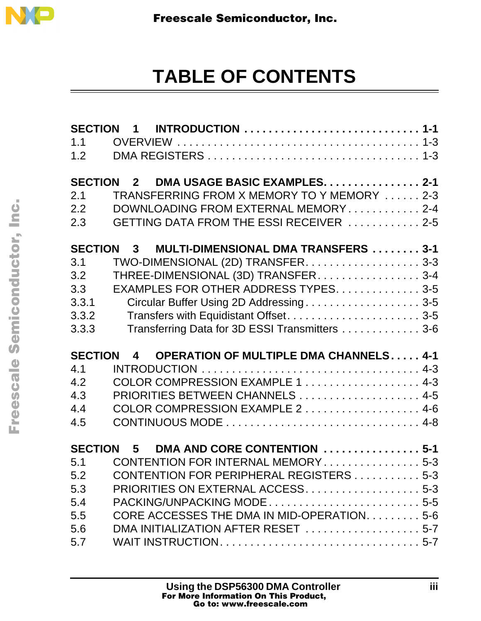

 Freescale Semiconductor, Inc.

# **TABLE OF CONTENTS**

| 1.1            | <b>SECTION 1</b>                                                         |
|----------------|--------------------------------------------------------------------------|
| 1.2            |                                                                          |
|                | <b>SECTION 2</b><br>DMA USAGE BASIC EXAMPLES. 2-1                        |
| 2.1            | TRANSFERRING FROM X MEMORY TO Y MEMORY  2-3                              |
| 2.2            | DOWNLOADING FROM EXTERNAL MEMORY2-4                                      |
| 2.3            | GETTING DATA FROM THE ESSI RECEIVER  2-5                                 |
|                | <b>SECTION 3</b><br>MULTI-DIMENSIONAL DMA TRANSFERS  3-1                 |
| 3.1            | TWO-DIMENSIONAL (2D) TRANSFER3-3                                         |
| 3.2            | THREE-DIMENSIONAL (3D) TRANSFER3-4                                       |
| 3.3            | EXAMPLES FOR OTHER ADDRESS TYPES3-5                                      |
| 3.3.1          | Circular Buffer Using 2D Addressing 3-5                                  |
| 3.3.2          | Transfers with Equidistant Offset 3-5                                    |
| 3.3.3          | Transferring Data for 3D ESSI Transmitters  3-6                          |
| <b>SECTION</b> | $\overline{\mathbf{4}}$<br><b>OPERATION OF MULTIPLE DMA CHANNELS 4-1</b> |
| 4.1            |                                                                          |
| 4.2            | COLOR COMPRESSION EXAMPLE 1  4-3                                         |
| 4.3            | PRIORITIES BETWEEN CHANNELS  4-5                                         |
| 4.4            | COLOR COMPRESSION EXAMPLE 2  4-6                                         |
| 4.5            |                                                                          |
| <b>SECTION</b> | DMA AND CORE CONTENTION  5-1<br>$5 -$                                    |
| 5.1            | CONTENTION FOR INTERNAL MEMORY5-3                                        |
| 5.2            | CONTENTION FOR PERIPHERAL REGISTERS 5-3                                  |
| 5.3            | PRIORITIES ON EXTERNAL ACCESS5-3                                         |
| 5.4            | PACKING/UNPACKING MODE5-5                                                |
| 5.5            | CORE ACCESSES THE DMA IN MID-OPERATION. 5-6                              |
| 5.6            | DMA INITIALIZATION AFTER RESET  5-7                                      |
| 5.7            |                                                                          |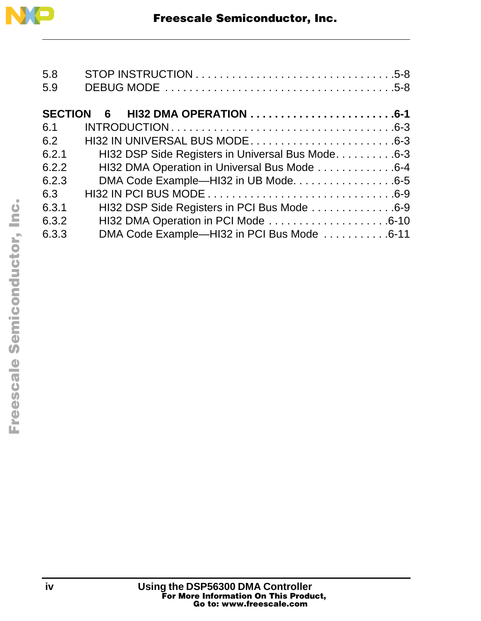

| 5.8            |                                                    |
|----------------|----------------------------------------------------|
| 5.9            |                                                    |
|                |                                                    |
| <b>SECTION</b> | 6 <sup>6</sup>                                     |
| 6.1            |                                                    |
| 6.2            |                                                    |
| 6.2.1          | HI32 DSP Side Registers in Universal Bus Mode. 6-3 |
| 6.2.2          | HI32 DMA Operation in Universal Bus Mode 6-4       |
| 6.2.3          | DMA Code Example-HI32 in UB Mode6-5                |
| 6.3            |                                                    |
| 6.3.1          | HI32 DSP Side Registers in PCI Bus Mode 6-9        |
| 6.3.2          |                                                    |
| 6.3.3          | DMA Code Example-HI32 in PCI Bus Mode 6-11         |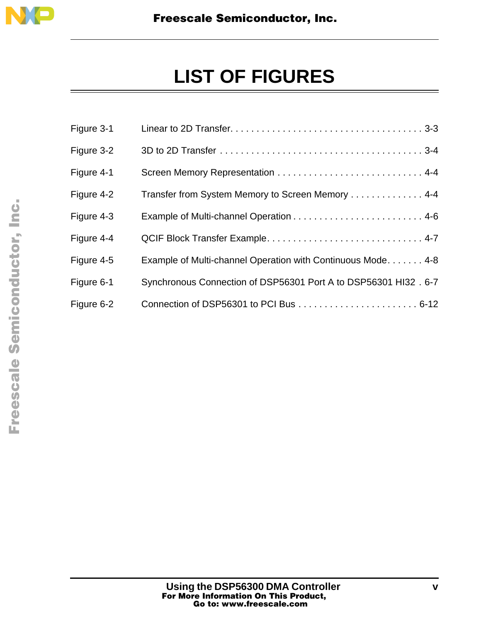

# **LIST OF FIGURES**

| Figure 3-1 |                                                                  |
|------------|------------------------------------------------------------------|
| Figure 3-2 |                                                                  |
| Figure 4-1 |                                                                  |
| Figure 4-2 | Transfer from System Memory to Screen Memory 4-4                 |
| Figure 4-3 |                                                                  |
| Figure 4-4 | QCIF Block Transfer Example 4-7                                  |
| Figure 4-5 | Example of Multi-channel Operation with Continuous Mode 4-8      |
| Figure 6-1 | Synchronous Connection of DSP56301 Port A to DSP56301 HI32 . 6-7 |
| Figure 6-2 |                                                                  |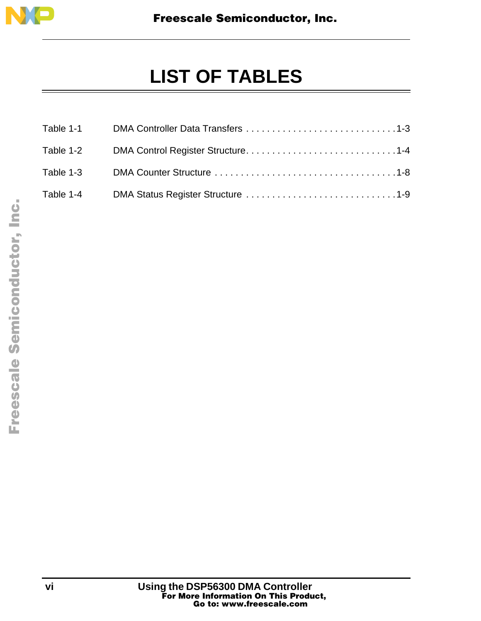

# **LIST OF TABLES**

| Table 1-4 DMA Status Register Structure 1-9 |  |
|---------------------------------------------|--|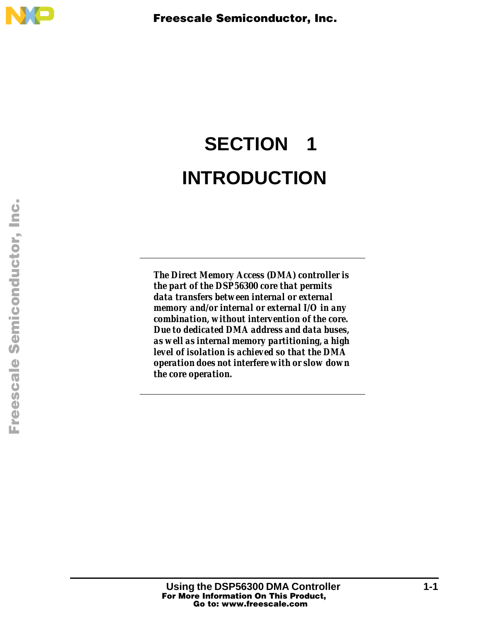<span id="page-7-0"></span>

# **SECTION 1 INTRODUCTION**

*The Direct Memory Access (DMA) controller is the part of the DSP56300 core that permits data transfers between internal or external memory and/or internal or external I/O in any combination, without intervention of the core. Due to dedicated DMA address and data buses, as well as internal memory partitioning, a high level of isolation is achieved so that the DMA operation does not interfere with or slow down the core operation.*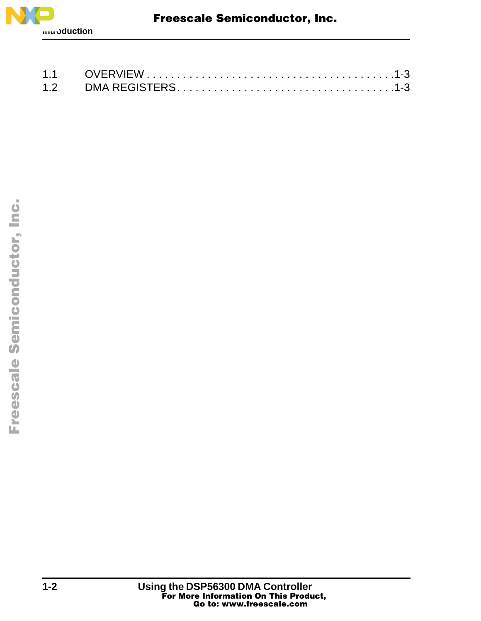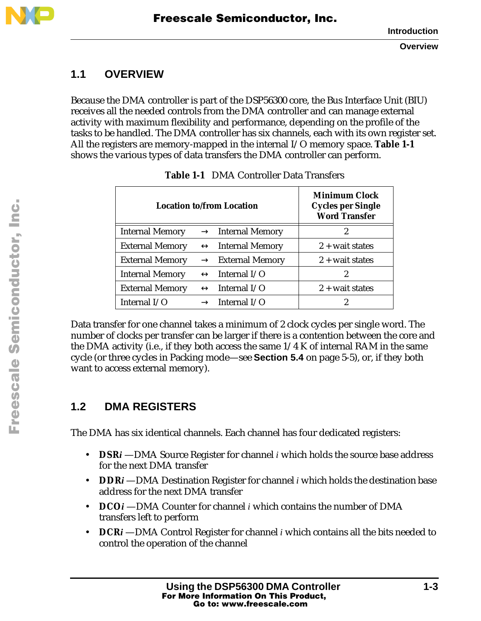<span id="page-9-0"></span>

## **1.1 OVERVIEW**

Because the DMA controller is part of the DSP56300 core, the Bus Interface Unit (BIU) receives all the needed controls from the DMA controller and can manage external activity with maximum flexibility and performance, depending on the profile of the tasks to be handled. The DMA controller has six channels, each with its own register set. All the registers are memory-mapped in the internal I/O memory space. **Table 1-1** shows the various types of data transfers the DMA controller can perform.

| <b>Location to/from Location</b> | <b>Minimum Clock</b><br><b>Cycles per Single</b><br><b>Word Transfer</b> |                          |
|----------------------------------|--------------------------------------------------------------------------|--------------------------|
| <b>Internal Memory</b>           | $\rightarrow$ Internal Memory                                            |                          |
| <b>External Memory</b>           | $\leftrightarrow$ Internal Memory                                        | $2 + \text{wait states}$ |
| <b>External Memory</b>           | $\rightarrow$ External Memory                                            | $2 + \text{wait states}$ |
| <b>Internal Memory</b>           | $\leftrightarrow$ Internal I/O                                           | 2                        |
| <b>External Memory</b>           | $\leftrightarrow$ Internal I/O                                           | $2 + \text{wait states}$ |
| Internal $I/O$                   | $\rightarrow$ Internal I/O                                               |                          |

Data transfer for one channel takes a minimum of 2 clock cycles per single word. The number of clocks per transfer can be larger if there is a contention between the core and the DMA activity (i.e., if they both access the same 1/4 K of internal RAM in the same cycle (or three cycles in Packing mode—see **Section 5.4** [on page 5-5\)](#page-41-0), or, if they both want to access external memory).

## **1.2 DMA REGISTERS**

The DMA has six identical channels. Each channel has four dedicated registers:

- **DSR***i* —DMA Source Register for channel *i* which holds the source base address for the next DMA transfer
- **DDR***i* —DMA Destination Register for channel *i* which holds the destination base address for the next DMA transfer
- **DCO***i* —DMA Counter for channel *i* which contains the number of DMA transfers left to perform
- **DCR***i* —DMA Control Register for channel *i* which contains all the bits needed to control the operation of the channel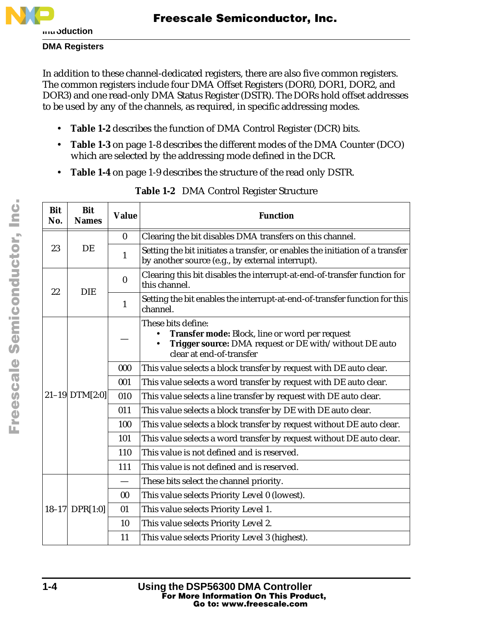

#### **DMA Registers**

In addition to these channel-dedicated registers, there are also five common registers. The common registers include four DMA Offset Registers (DOR0, DOR1, DOR2, and DOR3) and one read-only DMA Status Register (DSTR). The DORs hold offset addresses to be used by any of the channels, as required, in specific addressing modes.

- **Table 1-2** describes the function of DMA Control Register (DCR) bits.
- **Table 1-3** [on page 1-8](#page-14-0) describes the different modes of the DMA Counter (DCO) which are selected by the addressing mode defined in the DCR.
- **Table 1-4** [on page 1-9](#page-15-0) describes the structure of the read only DSTR.

| <b>Bit</b><br>No. | <b>Bit</b><br><b>Names</b> | <b>Value</b>     | <b>Function</b>                                                                                                                   |                                                                                                                                                            |                                                                      |  |  |
|-------------------|----------------------------|------------------|-----------------------------------------------------------------------------------------------------------------------------------|------------------------------------------------------------------------------------------------------------------------------------------------------------|----------------------------------------------------------------------|--|--|
| DE<br>23          |                            | $\boldsymbol{0}$ | Clearing the bit disables DMA transfers on this channel.                                                                          |                                                                                                                                                            |                                                                      |  |  |
|                   |                            | $\mathbf{1}$     | Setting the bit initiates a transfer, or enables the initiation of a transfer<br>by another source (e.g., by external interrupt). |                                                                                                                                                            |                                                                      |  |  |
|                   | <b>DIE</b>                 | $\bf{0}$         | Clearing this bit disables the interrupt-at-end-of-transfer function for<br>this channel.                                         |                                                                                                                                                            |                                                                      |  |  |
| 22                |                            | 1                | Setting the bit enables the interrupt-at-end-of-transfer function for this<br>channel.                                            |                                                                                                                                                            |                                                                      |  |  |
|                   |                            |                  |                                                                                                                                   | These bits define:<br>Transfer mode: Block, line or word per request<br>Trigger source: DMA request or DE with/without DE auto<br>clear at end-of-transfer |                                                                      |  |  |
|                   |                            | 000              | This value selects a block transfer by request with DE auto clear.                                                                |                                                                                                                                                            |                                                                      |  |  |
|                   |                            | $21-19$ DTM[2:0] | 001                                                                                                                               | This value selects a word transfer by request with DE auto clear.                                                                                          |                                                                      |  |  |
|                   |                            |                  | 010                                                                                                                               | This value selects a line transfer by request with DE auto clear.                                                                                          |                                                                      |  |  |
|                   |                            | 011              | This value selects a block transfer by DE with DE auto clear.                                                                     |                                                                                                                                                            |                                                                      |  |  |
|                   |                            |                  | 100                                                                                                                               | This value selects a block transfer by request without DE auto clear.                                                                                      |                                                                      |  |  |
|                   |                            |                  |                                                                                                                                   | 101                                                                                                                                                        | This value selects a word transfer by request without DE auto clear. |  |  |
|                   |                            | 110              | This value is not defined and is reserved.                                                                                        |                                                                                                                                                            |                                                                      |  |  |
|                   |                            | 111              | This value is not defined and is reserved.                                                                                        |                                                                                                                                                            |                                                                      |  |  |
|                   |                            |                  | These bits select the channel priority.                                                                                           |                                                                                                                                                            |                                                                      |  |  |
| $18 - 17$         |                            | 00               | This value selects Priority Level 0 (lowest).                                                                                     |                                                                                                                                                            |                                                                      |  |  |
|                   | DPR[1:0]                   | 01               | This value selects Priority Level 1.                                                                                              |                                                                                                                                                            |                                                                      |  |  |
|                   |                            | 10               | This value selects Priority Level 2.                                                                                              |                                                                                                                                                            |                                                                      |  |  |
|                   |                            | 11               | This value selects Priority Level 3 (highest).                                                                                    |                                                                                                                                                            |                                                                      |  |  |

#### **Table 1-2** DMA Control Register Structure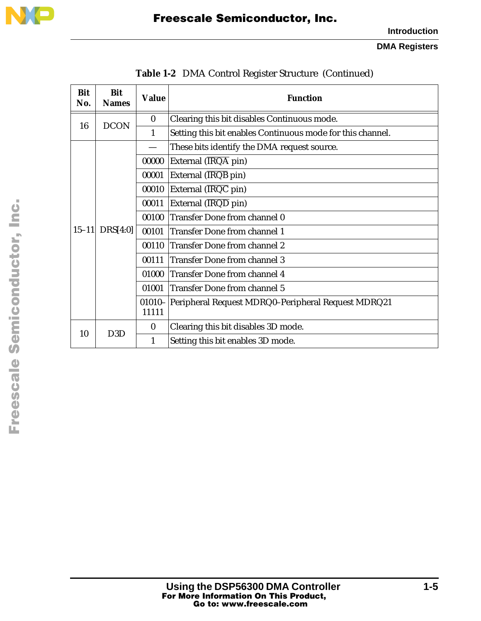

**DMA Registers**

| <b>Bit</b><br>No. | <b>Bit</b><br><b>Names</b> | <b>Value</b> | <b>Function</b>                                            |
|-------------------|----------------------------|--------------|------------------------------------------------------------|
| <b>DCON</b><br>16 |                            | $\bf{0}$     | Clearing this bit disables Continuous mode.                |
|                   |                            | 1            | Setting this bit enables Continuous mode for this channel. |
|                   |                            |              | These bits identify the DMA request source.                |
|                   |                            | 00000        | External $(\overline{\text{IRQA}})$ pin)                   |
|                   |                            | 00001        | <b>External</b> ( $\overline{IRQB}$ pin)                   |
|                   | DRS[4:0]                   | 00010        | External ( $\overline{\text{IRQC}}$ pin)                   |
|                   |                            | 00011        | <b>External</b> ( $\overline{\text{IRQD}}$ pin)            |
|                   |                            | 00100        | Transfer Done from channel 0                               |
| $15 - 11$         |                            | 00101        | Transfer Done from channel 1                               |
|                   |                            | 00110        | Transfer Done from channel 2                               |
|                   |                            | 00111        | Transfer Done from channel 3                               |
|                   |                            | 01000        | Transfer Done from channel 4                               |
|                   |                            | 01001        | Transfer Done from channel 5                               |
|                   |                            |              | 01010- Peripheral Request MDRQ0-Peripheral Request MDRQ21  |
|                   |                            | 11111        |                                                            |
| 10                | D <sub>3</sub> D           | $\bf{0}$     | Clearing this bit disables 3D mode.                        |
|                   |                            | 1            | Setting this bit enables 3D mode.                          |

**Table 1-2** DMA Control Register Structure (Continued)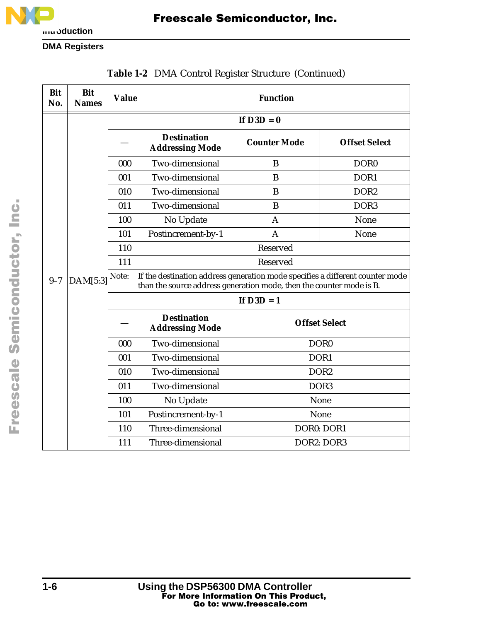

 Freescale Semiconductor, Inc.

**DMA Registers**

| <b>Bit</b><br>No. | <b>Bit</b><br><b>Names</b> | <b>Value</b> | <b>Function</b>                                                                                                                                       |                      |                      |  |  |
|-------------------|----------------------------|--------------|-------------------------------------------------------------------------------------------------------------------------------------------------------|----------------------|----------------------|--|--|
|                   |                            | If $D3D = 0$ |                                                                                                                                                       |                      |                      |  |  |
|                   |                            |              | <b>Destination</b><br><b>Addressing Mode</b>                                                                                                          | <b>Counter Mode</b>  | <b>Offset Select</b> |  |  |
|                   |                            | 000          | Two-dimensional                                                                                                                                       | B                    | DOR <sub>0</sub>     |  |  |
|                   |                            | 001          | Two-dimensional                                                                                                                                       | B                    | DOR1                 |  |  |
|                   |                            | 010          | Two-dimensional                                                                                                                                       | B                    | DOR <sub>2</sub>     |  |  |
|                   |                            | 011          | Two-dimensional                                                                                                                                       | B                    | DOR <sub>3</sub>     |  |  |
|                   |                            | 100          | No Update                                                                                                                                             | $\mathbf{A}$         | None                 |  |  |
|                   |                            | 101          | Postincrement-by-1                                                                                                                                    | $\mathbf{A}$         | None                 |  |  |
|                   |                            | 110          | Reserved                                                                                                                                              |                      |                      |  |  |
|                   |                            | 111          |                                                                                                                                                       | Reserved             |                      |  |  |
| $9 - 7$           | DAM[5:3]                   | Note:        | If the destination address generation mode specifies a different counter mode<br>than the source address generation mode, then the counter mode is B. |                      |                      |  |  |
|                   |                            |              |                                                                                                                                                       | If $D3D = 1$         |                      |  |  |
|                   |                            |              | <b>Destination</b><br><b>Addressing Mode</b>                                                                                                          | <b>Offset Select</b> |                      |  |  |
|                   |                            | 000          | Two-dimensional                                                                                                                                       | DOR <sub>0</sub>     |                      |  |  |
|                   |                            | 001          | Two-dimensional                                                                                                                                       | DOR1                 |                      |  |  |
|                   |                            | 010          | Two-dimensional                                                                                                                                       | DOR <sub>2</sub>     |                      |  |  |
|                   |                            | 011          | Two-dimensional                                                                                                                                       | DOR <sub>3</sub>     |                      |  |  |
|                   |                            | 100          | No Update                                                                                                                                             | None                 |                      |  |  |
|                   |                            | 101          | Postincrement-by-1                                                                                                                                    | None                 |                      |  |  |
|                   |                            | 110          | Three-dimensional                                                                                                                                     | <b>DOR0: DOR1</b>    |                      |  |  |
|                   |                            | 111          | Three-dimensional                                                                                                                                     | DOR2: DOR3           |                      |  |  |

**Table 1-2** DMA Control Register Structure (Continued)

d u  $\mathbf 0$ t o

r, I

n

.<br>ق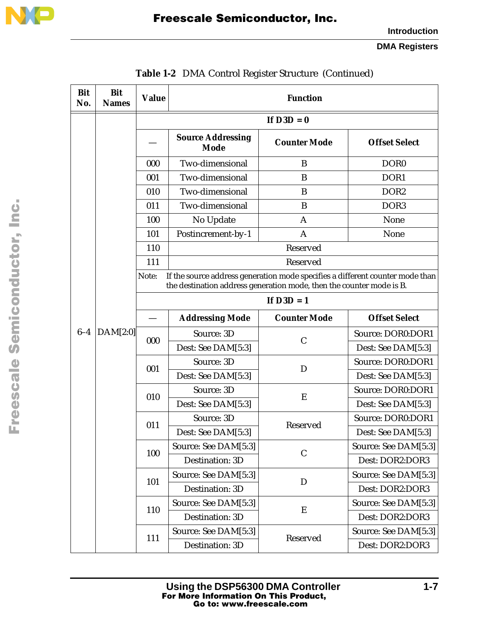

#### **DMA Registers**

| <b>Bit</b><br>No. | <b>Bit</b><br><b>Names</b> | <b>Value</b> | <b>Function</b>                                                                                                                                       |                     |                      |  |  |
|-------------------|----------------------------|--------------|-------------------------------------------------------------------------------------------------------------------------------------------------------|---------------------|----------------------|--|--|
|                   |                            | If $D3D = 0$ |                                                                                                                                                       |                     |                      |  |  |
|                   |                            |              | <b>Source Addressing</b><br>Mode                                                                                                                      | <b>Counter Mode</b> | <b>Offset Select</b> |  |  |
|                   |                            | 000          | Two-dimensional                                                                                                                                       | B                   | DOR <sub>0</sub>     |  |  |
|                   |                            | 001          | Two-dimensional                                                                                                                                       | B                   | DOR1                 |  |  |
|                   |                            | 010          | Two-dimensional                                                                                                                                       | B                   | DOR <sub>2</sub>     |  |  |
|                   |                            | 011          | Two-dimensional                                                                                                                                       | B                   | DOR <sub>3</sub>     |  |  |
|                   |                            | 100          | No Update                                                                                                                                             | $\mathbf{A}$        | None                 |  |  |
|                   |                            | 101          | Postincrement-by-1                                                                                                                                    | $\mathbf{A}$        | None                 |  |  |
|                   |                            | 110          |                                                                                                                                                       | Reserved            |                      |  |  |
|                   |                            | 111          |                                                                                                                                                       | Reserved            |                      |  |  |
|                   |                            | Note:        | If the source address generation mode specifies a different counter mode than<br>the destination address generation mode, then the counter mode is B. |                     |                      |  |  |
|                   |                            | If $D3D = 1$ |                                                                                                                                                       |                     |                      |  |  |
|                   | DAM[2:0]                   |              | <b>Addressing Mode</b>                                                                                                                                | <b>Counter Mode</b> | <b>Offset Select</b> |  |  |
| $6 - 4$           |                            | 000          | Source: 3D                                                                                                                                            | $\mathcal{C}$       | Source: DOR0:DOR1    |  |  |
|                   |                            |              | Dest: See DAM[5:3]                                                                                                                                    |                     | Dest: See DAM[5:3]   |  |  |
|                   |                            | 001          | Source: 3D                                                                                                                                            | D                   | Source: DOR0:DOR1    |  |  |
|                   |                            |              | Dest: See DAM[5:3]                                                                                                                                    |                     | Dest: See DAM[5:3]   |  |  |
|                   |                            | 010          | Source: 3D                                                                                                                                            | E                   | Source: DOR0:DOR1    |  |  |
|                   |                            |              | Dest: See DAM[5:3]                                                                                                                                    |                     | Dest: See DAM[5:3]   |  |  |
|                   |                            | 011          | Source: 3D                                                                                                                                            | Reserved            | Source: DOR0:DOR1    |  |  |
|                   |                            |              | Dest: See DAM[5:3]                                                                                                                                    |                     | Dest: See DAM[5:3]   |  |  |
|                   |                            | 100          | Source: See DAM[5:3]                                                                                                                                  | $\mathbf C$         | Source: See DAM[5:3] |  |  |
|                   |                            |              | <b>Destination: 3D</b>                                                                                                                                |                     | Dest: DOR2:DOR3      |  |  |
|                   |                            | 101          | Source: See DAM[5:3]                                                                                                                                  |                     | Source: See DAM[5:3] |  |  |
|                   |                            |              | Destination: 3D                                                                                                                                       | D                   | Dest: DOR2:DOR3      |  |  |
|                   |                            | 110          | Source: See DAM[5:3]                                                                                                                                  | E                   | Source: See DAM[5:3] |  |  |
|                   |                            |              | Destination: 3D                                                                                                                                       |                     | Dest: DOR2:DOR3      |  |  |
|                   |                            | 111          | Source: See DAM[5:3]                                                                                                                                  | Reserved            | Source: See DAM[5:3] |  |  |
|                   |                            |              | Destination: 3D                                                                                                                                       |                     | Dest: DOR2:DOR3      |  |  |

**Table 1-2** DMA Control Register Structure (Continued)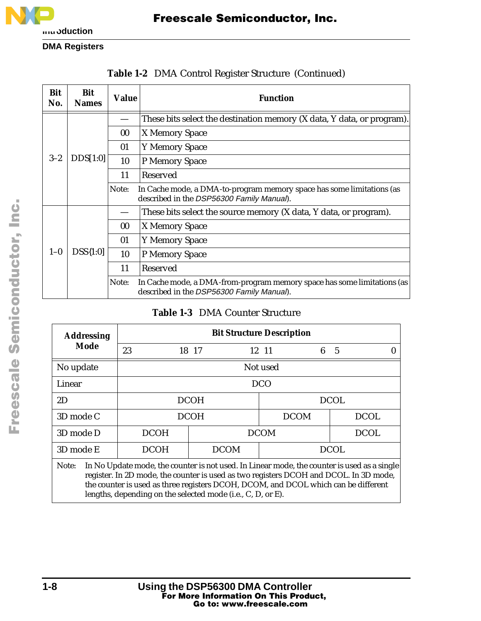<span id="page-14-0"></span>

 Freescale Semiconductor, Inc.

**DMA Registers**

|  | Table 1-2 DMA Control Register Structure (Continued) |  |
|--|------------------------------------------------------|--|
|--|------------------------------------------------------|--|

| <b>Bit</b><br>No. | Bit<br><b>Names</b> | <b>Value</b> | <b>Function</b>                                                                                                      |  |
|-------------------|---------------------|--------------|----------------------------------------------------------------------------------------------------------------------|--|
|                   |                     |              | These bits select the destination memory (X data, Y data, or program).                                               |  |
|                   |                     | 00           | X Memory Space                                                                                                       |  |
|                   |                     | 01           | <b>Y</b> Memory Space                                                                                                |  |
| $3 - 2$           | DDS[1:0]            | 10           | P Memory Space                                                                                                       |  |
|                   |                     | 11           | Reserved                                                                                                             |  |
|                   |                     | Note:        | In Cache mode, a DMA-to-program memory space has some limitations (as<br>described in the DSP56300 Family Manual).   |  |
|                   |                     |              | These bits select the source memory (X data, Y data, or program).                                                    |  |
|                   |                     | 00           | X Memory Space                                                                                                       |  |
|                   |                     | 01           | <b>Y</b> Memory Space                                                                                                |  |
| $1 - 0$           | $DSS{1:0}$          | 10           | P Memory Space                                                                                                       |  |
|                   |                     | 11           | Reserved                                                                                                             |  |
|                   |                     | Note:        | In Cache mode, a DMA-from-program memory space has some limitations (as<br>described in the DSP56300 Family Manual). |  |

#### **Table 1-3** DMA Counter Structure

| <b>Addressing</b>                                                                             | <b>Bit Structure Description</b> |             |                            |             |             |  |  |
|-----------------------------------------------------------------------------------------------|----------------------------------|-------------|----------------------------|-------------|-------------|--|--|
| <b>Mode</b>                                                                                   | 23                               | 18 17       | 12 11                      | 5<br>6      |             |  |  |
| No update                                                                                     |                                  |             | Not used                   |             |             |  |  |
| Linear                                                                                        | <b>DCO</b>                       |             |                            |             |             |  |  |
| 2D                                                                                            |                                  | <b>DCOH</b> | <b>DCOL</b>                |             |             |  |  |
| 3D mode C                                                                                     | <b>DCOH</b>                      | <b>DCOM</b> |                            | <b>DCOL</b> |             |  |  |
| 3D mode D                                                                                     | <b>DCOH</b>                      |             | <b>DCOM</b><br><b>DCOL</b> |             |             |  |  |
| 3D mode E                                                                                     | <b>DCOH</b>                      | <b>DCOM</b> |                            |             | <b>DCOL</b> |  |  |
| Motor In Mo Undete mode the countering not used. In Uncon mode the counterio used as a single |                                  |             |                            |             |             |  |  |

Note: In No Update mode, the counter is not used. In Linear mode, the counter is used as a single register. In 2D mode, the counter is used as two registers DCOH and DCOL. In 3D mode, the counter is used as three registers DCOH, DCOM, and DCOL which can be different lengths, depending on the selected mode (i.e., C, D, or E).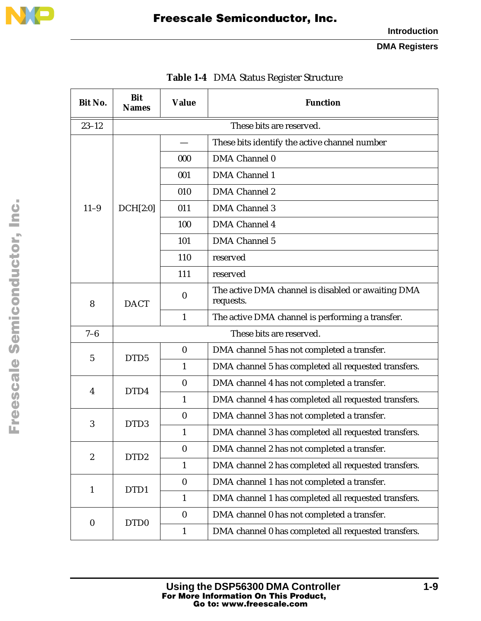<span id="page-15-0"></span>

**DMA Registers**

| Bit No.          | <b>Bit</b><br><b>Names</b> | <b>Value</b>     | <b>Function</b>                                                 |
|------------------|----------------------------|------------------|-----------------------------------------------------------------|
| $23 - 12$        |                            |                  | These bits are reserved.                                        |
|                  |                            |                  | These bits identify the active channel number                   |
|                  |                            | 000              | DMA Channel 0                                                   |
|                  |                            | 001              | <b>DMA</b> Channel 1                                            |
|                  |                            | 010              | DMA Channel 2                                                   |
| $11 - 9$         | DCH[2:0]                   | 011              | <b>DMA Channel 3</b>                                            |
|                  |                            | 100              | <b>DMA</b> Channel 4                                            |
|                  |                            | 101              | <b>DMA</b> Channel 5                                            |
|                  |                            | 110              | reserved                                                        |
|                  |                            | 111              | reserved                                                        |
| 8                | <b>DACT</b>                | $\bf{0}$         | The active DMA channel is disabled or awaiting DMA<br>requests. |
|                  |                            | $\mathbf{1}$     | The active DMA channel is performing a transfer.                |
| $7 - 6$          |                            |                  | These bits are reserved.                                        |
| 5                | DTD5                       | $\bf{0}$         | DMA channel 5 has not completed a transfer.                     |
|                  |                            | 1                | DMA channel 5 has completed all requested transfers.            |
|                  | DTD4                       | $\bf{0}$         | DMA channel 4 has not completed a transfer.                     |
| 4                |                            | 1                | DMA channel 4 has completed all requested transfers.            |
|                  | DTD <sub>3</sub>           | $\bf{0}$         | DMA channel 3 has not completed a transfer.                     |
| 3                |                            | 1                | DMA channel 3 has completed all requested transfers.            |
|                  |                            | $\bf{0}$         | DMA channel 2 has not completed a transfer.                     |
| $\boldsymbol{2}$ | DTD <sub>2</sub>           | $\mathbf{1}$     | DMA channel 2 has completed all requested transfers.            |
|                  |                            | $\boldsymbol{0}$ | DMA channel 1 has not completed a transfer.                     |
| $\mathbf{1}$     | DTD1                       | $\mathbf{1}$     | DMA channel 1 has completed all requested transfers.            |
|                  |                            | $\bf{0}$         | DMA channel 0 has not completed a transfer.                     |
| $\bf{0}$         | DTD <sub>0</sub>           | $\mathbf{1}$     | DMA channel 0 has completed all requested transfers.            |

**Table 1-4** DMA Status Register Structure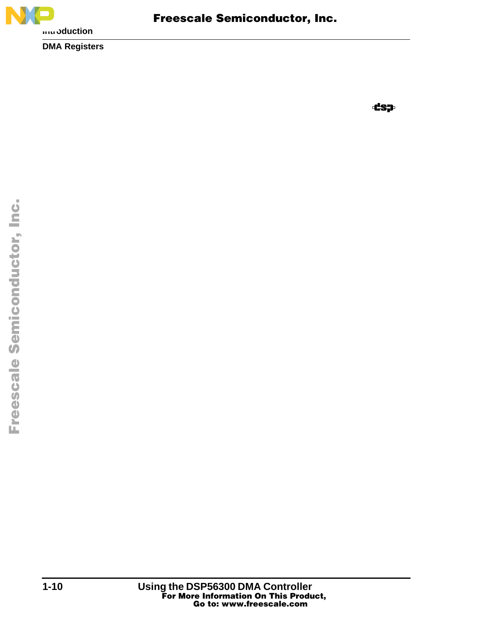

**DMA Registers**

**dsp**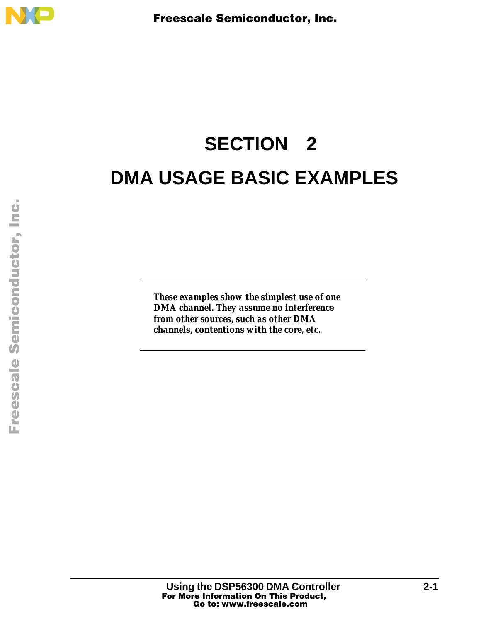<span id="page-17-0"></span>

# **SECTION 2 DMA USAGE BASIC EXAMPLES**

*These examples show the simplest use of one DMA channel. They assume no interference from other sources, such as other DMA channels, contentions with the core, etc.*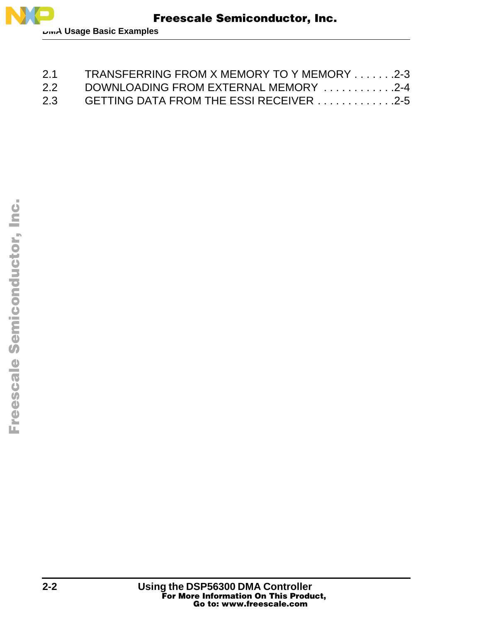| 2.1 | 7. TRANSFERRING FROM X MEMORY TO Y MEMORY 2-3 |  |
|-----|-----------------------------------------------|--|
| 2.2 | DOWNLOADING FROM EXTERNAL MEMORY 2-4          |  |
| 2.3 | GETTING DATA FROM THE ESSI RECEIVER 2-5       |  |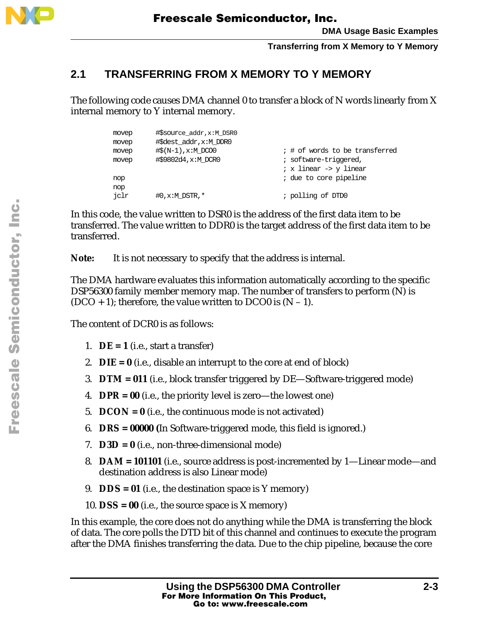<span id="page-19-0"></span>

**Transferring from X Memory to Y Memory**

# **2.1 TRANSFERRING FROM X MEMORY TO Y MEMORY**

The following code causes DMA channel 0 to transfer a block of N words linearly from X internal memory to Y internal memory.

| movep | #\$source addr, x:M DSR0     |                                     |
|-------|------------------------------|-------------------------------------|
| movep | #\$dest addr,x:M DDR0        |                                     |
| movep | $\sharp$ \$(N-1), $x:M$ DCOO | ; # of words to be transferred      |
| movep | #\$9802d4, x:M DCR0          | ; software-triggered,               |
|       |                              | $: x$ linear $\rightarrow$ y linear |
| nop   |                              | ; due to core pipeline              |
| nop   |                              |                                     |
| iclr  | $#0, x:M$ DSTR, $*$          | ; polling of DTD0                   |

In this code, the value written to DSR0 is the address of the first data item to be transferred. The value written to DDR0 is the target address of the first data item to be transferred.

**Note:** It is not necessary to specify that the address is internal.

The DMA hardware evaluates this information automatically according to the specific DSP56300 family member memory map. The number of transfers to perform (N) is  $(DCO + 1)$ ; therefore, the value written to DCO0 is  $(N - 1)$ .

The content of DCR0 is as follows:

- 1.  $DE = 1$  (i.e., start a transfer)
- 2.  $DIE = 0$  (i.e., disable an interrupt to the core at end of block)
- 3. **DTM = 011** (i.e., block transfer triggered by DE—Software-triggered mode)
- 4. **DPR = 00** (i.e., the priority level is zero—the lowest one)
- 5. **DCON = 0** (i.e., the continuous mode is not activated)
- 6. **DRS = 00000 (**In Software-triggered mode, this field is ignored.)
- 7. **D3D = 0** (i.e., non-three-dimensional mode)
- 8. **DAM = 101101** (i.e., source address is post-incremented by 1—Linear mode—and destination address is also Linear mode)
- 9. **DDS = 01** (i.e., the destination space is Y memory)
- 10. **DSS = 00** (i.e., the source space is X memory)

In this example, the core does not do anything while the DMA is transferring the block of data. The core polls the DTD bit of this channel and continues to execute the program after the DMA finishes transferring the data. Due to the chip pipeline, because the core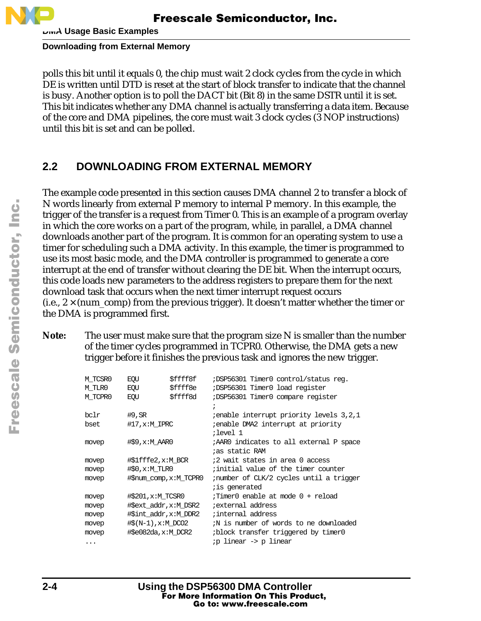<span id="page-20-0"></span>

**DMA Usage Basic Examples**

#### **Downloading from External Memory**

polls this bit until it equals 0, the chip must wait 2 clock cycles from the cycle in which DE is written until DTD is reset at the start of block transfer to indicate that the channel is busy. Another option is to poll the DACT bit (Bit 8) in the same DSTR until it is set. This bit indicates whether any DMA channel is actually transferring a data item. Because of the core and DMA pipelines, the core must wait 3 clock cycles (3 NOP instructions) until this bit is set and can be polled.

### **2.2 DOWNLOADING FROM EXTERNAL MEMORY**

The example code presented in this section causes DMA channel 2 to transfer a block of N words linearly from external P memory to internal P memory. In this example, the trigger of the transfer is a request from Timer 0. This is an example of a program overlay in which the core works on a part of the program, while, in parallel, a DMA channel downloads another part of the program. It is common for an operating system to use a timer for scheduling such a DMA activity. In this example, the timer is programmed to use its most basic mode, and the DMA controller is programmed to generate a core interrupt at the end of transfer without clearing the DE bit. When the interrupt occurs, this code loads new parameters to the address registers to prepare them for the next download task that occurs when the next timer interrupt request occurs (i.e.,  $2 \times$  (num\_comp) from the previous trigger). It doesn't matter whether the timer or the DMA is programmed first.

**Note:** The user must make sure that the program size N is smaller than the number of the timer cycles programmed in TCPR0. Otherwise, the DMA gets a new trigger before it finishes the previous task and ignores the new trigger.

| M TCSRO | EQU                    | \$ffff8f | ;DSP56301 Timer0 control/status req.           |
|---------|------------------------|----------|------------------------------------------------|
| M TLRO  | EQU                    | \$ffff8e | ;DSP56301 Timer0 load register                 |
| M TCPRO | EQU                    | \$ffff8d | ;DSP56301 Timer0 compare register              |
|         |                        |          | ĩ                                              |
| bclr    | #9.SR                  |          | enable interrupt priority levels 3,2,1;        |
| bset    | #17,x:M IPRC           |          | enable DMA2 interrupt at priority              |
|         |                        |          | ilevel 1;                                      |
| movep   | #\$9,x:M AARO          |          | <i>IAARO</i> indicates to all external P space |
|         |                        |          | <i>i</i> as static RAM                         |
| movep   | #\$1fffe2,x:M BCR      |          | <i>i</i> 2 wait states in area 0 access        |
| movep   | #\$0,x:M TLR0          |          | initial value of the timer counter;            |
| movep   | #\$num comp, x:M TCPR0 |          | inumber of CLK/2 cycles until a trigger        |
|         |                        |          | <i>i</i> is generated                          |
| movep   | #\$201,x:M TCSR0       |          | Timer0 enable at mode 0 + reload               |
| movep   | #\$ext addr,x:M DSR2   |          | external address;                              |
| movep   | #\$int addr, x:M DDR2  |          | internal address;                              |
| movep   | #\$(N-1),x:M DCO2      |          | N is number of words to ne downloaded;         |
| movep   | #\$e082da,x:M DCR2     |          | iblock transfer triggered by timer0            |
| .       |                        |          | ;p linear -> p linear                          |

d u  $\mathbf 0$ t o

r, I

n

.<br>ق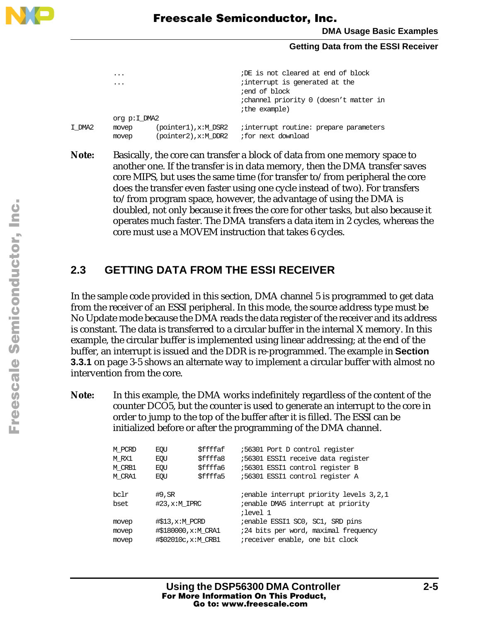<span id="page-21-0"></span>

**DMA Usage Basic Examples**

#### **Getting Data from the ESSI Receiver**

|        | $\ddotsc$<br>$\ddotsc$ |                                             | ;DE is not cleared at end of block<br>interrupt is generated at the<br>iend of block<br>: channel priority 0 (doesn't matter in<br><i>i</i> the example) |
|--------|------------------------|---------------------------------------------|----------------------------------------------------------------------------------------------------------------------------------------------------------|
|        | org p:I DMA2           |                                             |                                                                                                                                                          |
| I DMA2 | movep<br>movep         | (pointer1), x:M DSR2<br>(pointer2),x:M DDR2 | interrupt routine: prepare parameters<br>; for next download                                                                                             |

**Note:** Basically, the core can transfer a block of data from one memory space to another one. If the transfer is in data memory, then the DMA transfer saves core MIPS, but uses the same time (for transfer to/from peripheral the core does the transfer even faster using one cycle instead of two). For transfers to/from program space, however, the advantage of using the DMA is doubled, not only because it frees the core for other tasks, but also because it operates much faster. The DMA transfers a data item in 2 cycles, whereas the core must use a MOVEM instruction that takes 6 cycles.

### **2.3 GETTING DATA FROM THE ESSI RECEIVER**

In the sample code provided in this section, DMA channel 5 is programmed to get data from the receiver of an ESSI peripheral. In this mode, the source address type must be No Update mode because the DMA reads the data register of the receiver and its address is constant. The data is transferred to a circular buffer in the internal X memory. In this example, the circular buffer is implemented using linear addressing; at the end of the buffer, an interrupt is issued and the DDR is re-programmed. The example in **Section 3.3.1** [on page 3-5](#page-27-0) shows an alternate way to implement a circular buffer with almost no intervention from the core.

**Note:** In this example, the DMA works indefinitely regardless of the content of the counter DCO5, but the counter is used to generate an interrupt to the core in order to jump to the top of the buffer after it is filled. The ESSI can be initialized before or after the programming of the DMA channel.

| M PCRD | EOU                        | \$ffffaf | :56301 Port D control register                  |
|--------|----------------------------|----------|-------------------------------------------------|
| M RX1  | EOU                        | \$ffffa8 | :56301 ESSI1 receive data register              |
| M CRB1 | EOU                        | \$ffffa6 | ;56301 ESSI1 control register B                 |
| M CRA1 | EOU                        | \$ffffa5 | ;56301 ESSI1 control register A                 |
|        |                            |          |                                                 |
| bclr   | #9, SR                     |          | <i>i</i> enable interrupt priority levels 3,2,1 |
| bset.  | $#23, x:M$ IPRC            |          |                                                 |
|        |                            |          | <i>i</i> enable DMA5 interrupt at priority      |
|        |                            |          | ilevel 1                                        |
| movep  | $\sharp$ \$13, $x:$ M PCRD |          | ; enable ESSI1 SCO, SC1, SRD pins               |
| movep  | #\$180000,x:M CRA1         |          | :24 bits per word, maximal frequency            |
| movep  | #\$02010c, x:M CRB1        |          | ireceiver enable, one bit clock                 |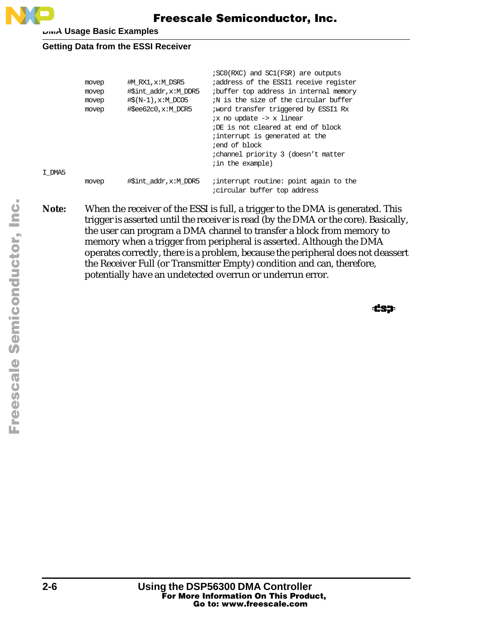

I\_DMA5

**DMA Usage Basic Examples**

#### **Getting Data from the ESSI Receiver**

| movep<br>movep<br>movep<br>movep | $#M$ RX1, $x:M$ DSR5<br>#\$int addr,x:M DDR5<br>$\sharp$ \$(N-1), $x:M$ DCO5<br>#See62c0, x:M DCR5 | $:SC0(RXC)$ and $SC1(FSR)$ are outputs<br><i>iaddress</i> of the ESSI1 receive register<br>buffer top address in internal memory<br>N is the size of the circular buffer<br><i>i</i> word transfer triggered by ESSI1 Rx<br>ix no update -> x linear<br>;DE is not cleared at end of block<br>interrupt is generated at the<br>iend of block |
|----------------------------------|----------------------------------------------------------------------------------------------------|----------------------------------------------------------------------------------------------------------------------------------------------------------------------------------------------------------------------------------------------------------------------------------------------------------------------------------------------|
|                                  |                                                                                                    | ichannel priority 3 (doesn't matter<br>$\sin$ the example)                                                                                                                                                                                                                                                                                   |
| movep                            | #\$int addr,x:M DDR5                                                                               | interrupt routine: point again to the<br>;circular buffer top address                                                                                                                                                                                                                                                                        |

**Note:** When the receiver of the ESSI is full, a trigger to the DMA is generated. This trigger is asserted until the receiver is read (by the DMA or the core). Basically, the user can program a DMA channel to transfer a block from memory to memory when a trigger from peripheral is asserted. Although the DMA operates correctly, there is a problem, because the peripheral does not deassert the Receiver Full (or Transmitter Empty) condition and can, therefore, potentially have an undetected overrun or underrun error.

<del>ds:1</del>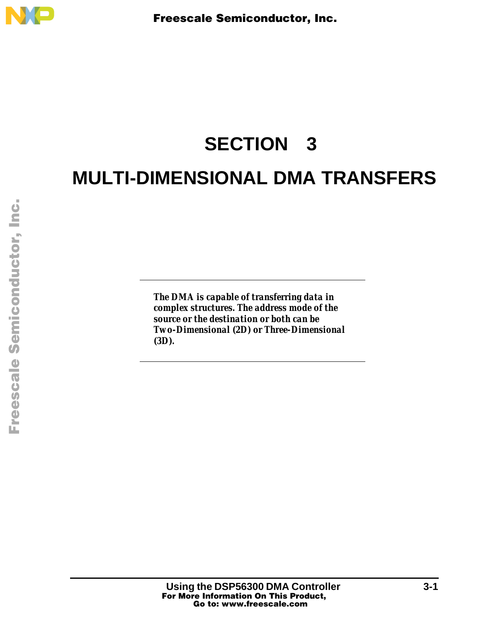<span id="page-23-0"></span>

# **SECTION 3 MULTI-DIMENSIONAL DMA TRANSFERS**

*The DMA is capable of transferring data in complex structures. The address mode of the source or the destination or both can be Two-Dimensional (2D) or Three-Dimensional (3D).*

Fr  $\boldsymbol{\Phi}$  $\bf \Phi$  $\boldsymbol{\eta}$  $\mathbf 0$ 

ale

 $\boldsymbol{g}$  $\bf \Phi$ 

mic

o n d u  $\mathbf 0$ t o

r, I

n

.<br>ق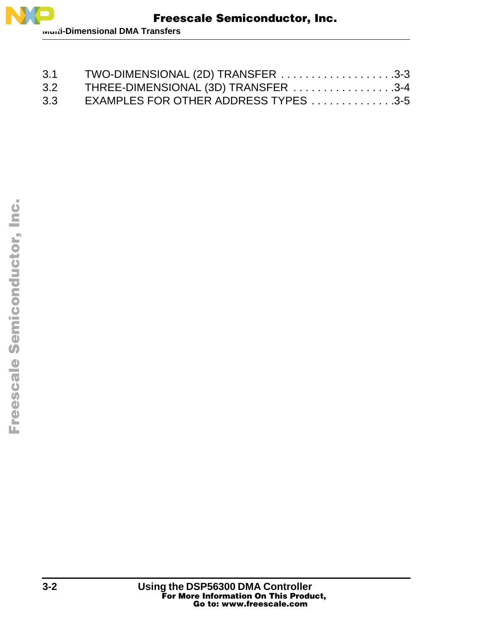| 3.1 | TWO-DIMENSIONAL (2D) TRANSFER 3-3    |  |
|-----|--------------------------------------|--|
| 3.2 | THREE-DIMENSIONAL (3D) TRANSFER 3-4  |  |
| 3.3 | EXAMPLES FOR OTHER ADDRESS TYPES 3-5 |  |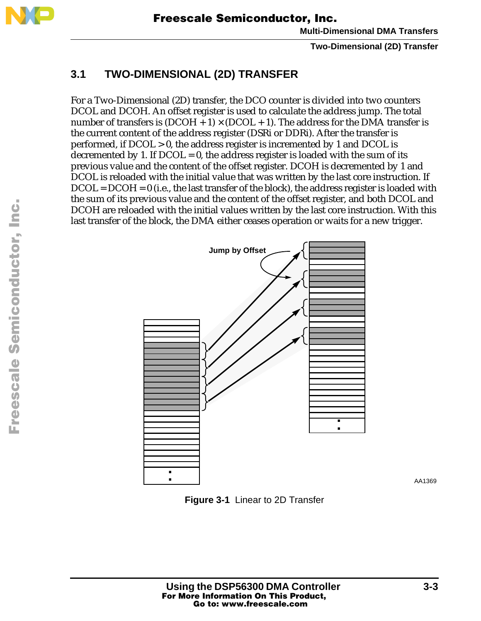<span id="page-25-0"></span>

## **3.1 TWO-DIMENSIONAL (2D) TRANSFER**

For a Two-Dimensional (2D) transfer, the DCO counter is divided into two counters DCOL and DCOH. An offset register is used to calculate the address jump. The total number of transfers is  $(DCOH + 1) \times (DCOL + 1)$ . The address for the DMA transfer is the current content of the address register (DSRi or DDRi). After the transfer is performed, if DCOL > 0, the address register is incremented by 1 and DCOL is decremented by 1. If  $DCOL = 0$ , the address register is loaded with the sum of its previous value and the content of the offset register. DCOH is decremented by 1 and DCOL is reloaded with the initial value that was written by the last core instruction. If DCOL = DCOH = 0 (i.e., the last transfer of the block), the address register is loaded with the sum of its previous value and the content of the offset register, and both DCOL and DCOH are reloaded with the initial values written by the last core instruction. With this last transfer of the block, the DMA either ceases operation or waits for a new trigger.



AA1369

**Figure 3-1** Linear to 2D Transfer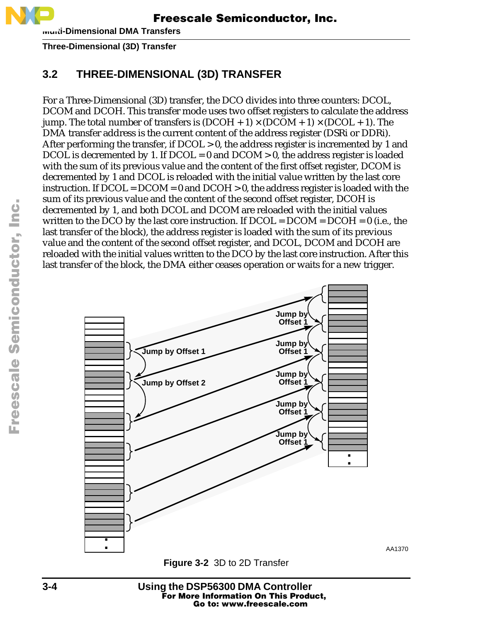<span id="page-26-0"></span>

**Multi-Dimensional DMA Transfers**

**Three-Dimensional (3D) Transfer**

# **3.2 THREE-DIMENSIONAL (3D) TRANSFER**

For a Three-Dimensional (3D) transfer, the DCO divides into three counters: DCOL, DCOM and DCOH. This transfer mode uses two offset registers to calculate the address jump. The total number of transfers is  $(DCOH + 1) \times (DCOM + 1) \times (DCOL + 1)$ . The DMA transfer address is the current content of the address register (DSRi or DDRi). After performing the transfer, if  $DCOL > 0$ , the address register is incremented by 1 and DCOL is decremented by 1. If  $DCOL = 0$  and  $DCOM > 0$ , the address register is loaded with the sum of its previous value and the content of the first offset register, DCOM is decremented by 1 and DCOL is reloaded with the initial value written by the last core instruction. If  $DCOL = DCOM = 0$  and  $DCOH > 0$ , the address register is loaded with the sum of its previous value and the content of the second offset register, DCOH is decremented by 1, and both DCOL and DCOM are reloaded with the initial values written to the DCO by the last core instruction. If  $DCOL = DCOM = DCOH = 0$  (i.e., the last transfer of the block), the address register is loaded with the sum of its previous value and the content of the second offset register, and DCOL, DCOM and DCOH are reloaded with the initial values written to the DCO by the last core instruction. After this last transfer of the block, the DMA either ceases operation or waits for a new trigger.



**Figure 3-2** 3D to 2D Transfer

AA1370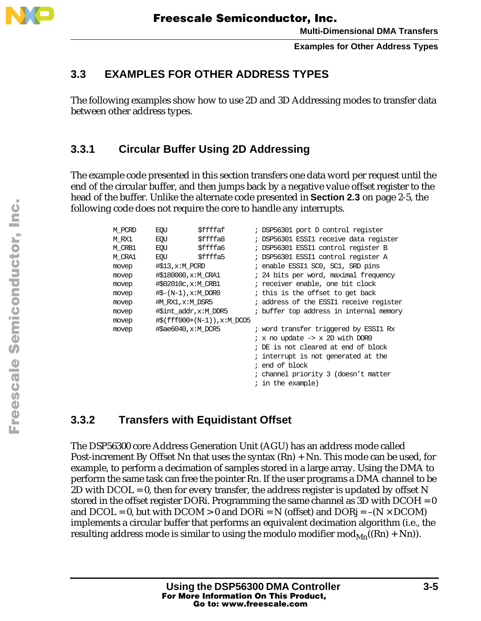<span id="page-27-0"></span>

## **3.3 EXAMPLES FOR OTHER ADDRESS TYPES**

The following examples show how to use 2D and 3D Addressing modes to transfer data between other address types.

### **3.3.1 Circular Buffer Using 2D Addressing**

The example code presented in this section transfers one data word per request until the end of the circular buffer, and then jumps back by a negative value offset register to the head of the buffer. Unlike the alternate code presented in **Section 2.3** [on page 2-5,](#page-21-0) the following code does not require the core to handle any interrupts.

| M PCRD | EQU                                   | <i><b>Sffffaf</b></i>                 | ; DSP56301 port D control register           |
|--------|---------------------------------------|---------------------------------------|----------------------------------------------|
| M RX1  | EOU                                   | \$ffffa8                              | ; DSP56301 ESSI1 receive data register       |
| M CRB1 | EQU                                   | \$ffffa6                              | ; DSP56301 ESSI1 control register B          |
| M CRA1 | EOU                                   | \$ffffa5                              | ; DSP56301 ESSI1 control register A          |
| movep  | $\sharp$ \$13, $x:$ M PCRD            |                                       | ; enable ESSI1 SCO, SC1, SRD pins            |
| movep  | #\$180000,x:M CRA1                    |                                       | ; 24 bits per word, maximal frequency        |
| movep  | #\$02010c,x:M CRB1                    |                                       | ; receiver enable, one bit clock             |
| movep  | #\$-(N-1),x:M DORO                    |                                       | ; this is the offset to get back             |
| movep  | #M RX1,x:M DSR5                       |                                       | ; address of the ESSI1 receive register      |
| movep  | #\$int addr,x:M DDR5                  |                                       | ; buffer top address in internal memory      |
| movep  |                                       | $\sharp$ \$(fff000+(N-1)), $x:M$ DCO5 |                                              |
| movep  | $\# \text{Sae} 6040, \text{x:M DCR5}$ |                                       | ; word transfer triggered by ESSI1 Rx        |
|        |                                       |                                       | $: x$ no update $\rightarrow x$ 2D with DORO |
|        |                                       |                                       | ; DE is not cleared at end of block          |
|        |                                       |                                       | ; interrupt is not generated at the          |
|        |                                       |                                       | ; end of block                               |
|        |                                       |                                       | ; channel priority 3 (doesn't matter         |
|        |                                       |                                       | ; in the example)                            |

### **3.3.2 Transfers with Equidistant Offset**

The DSP56300 core Address Generation Unit (AGU) has an address mode called Post-increment By Offset Nn that uses the syntax  $(Rn) + Nn$ . This mode can be used, for example, to perform a decimation of samples stored in a large array. Using the DMA to perform the same task can free the pointer Rn. If the user programs a DMA channel to be 2D with  $DCOL = 0$ , then for every transfer, the address register is updated by offset N stored in the offset register DORi. Programming the same channel as  $3D$  with  $DCOH = 0$ and  $DCOL = 0$ , but with  $DCOM > 0$  and  $DORi = N$  (offset) and  $DORj = -(N \times DCOM)$ implements a circular buffer that performs an equivalent decimation algorithm (i.e., the resulting address mode is similar to using the modulo modifier  $mod_{Mn}((Rn) + Nn)$ .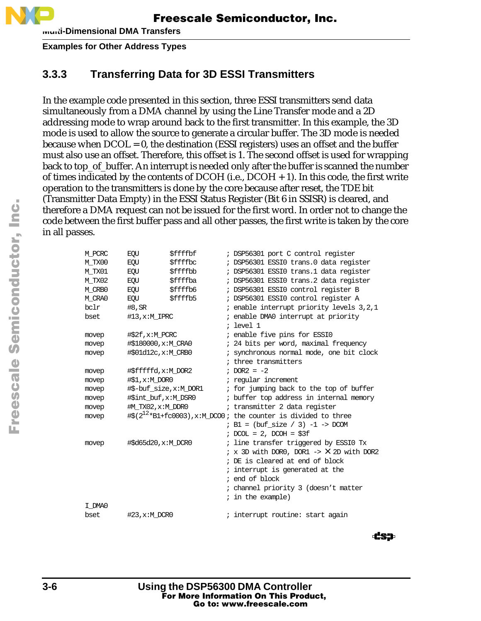<span id="page-28-0"></span>

**Multi-Dimensional DMA Transfers**

**Examples for Other Address Types**

## **3.3.3 Transferring Data for 3D ESSI Transmitters**

In the example code presented in this section, three ESSI transmitters send data simultaneously from a DMA channel by using the Line Transfer mode and a 2D addressing mode to wrap around back to the first transmitter. In this example, the 3D mode is used to allow the source to generate a circular buffer. The 3D mode is needed because when  $DCOL = 0$ , the destination (ESSI registers) uses an offset and the buffer must also use an offset. Therefore, this offset is 1. The second offset is used for wrapping back to top\_of\_buffer. An interrupt is needed only after the buffer is scanned the number of times indicated by the contents of DCOH (i.e.,  $DCOH + 1$ ). In this code, the first write operation to the transmitters is done by the core because after reset, the TDE bit (Transmitter Data Empty) in the ESSI Status Register (Bit 6 in SSISR) is cleared, and therefore a DMA request can not be issued for the first word. In order not to change the code between the first buffer pass and all other passes, the first write is taken by the core in all passes.

| M PCRC | <b>EQU</b>           | \$ffffbf               | ; DSP56301 port C control register                                  |
|--------|----------------------|------------------------|---------------------------------------------------------------------|
| M TX00 | <b>EQU</b>           | \$ffffbc               | ; DSP56301 ESSI0 trans.0 data register                              |
| M TX01 | <b>EQU</b>           | \$ffffbb               | ; DSP56301 ESSI0 trans.1 data register                              |
| M TX02 | EQU                  | \$ffffba               | ; DSP56301 ESSI0 trans.2 data register                              |
| M CRBO | <b>EQU</b>           | \$ffffb6               | ; DSP56301 ESSI0 control register B                                 |
| M CRAO | <b>EQU</b>           | \$ffffb5               | ; DSP56301 ESSI0 control register A                                 |
| bclr   | #8, SR               |                        | ; enable interrupt priority levels 3,2,1                            |
| bset.  | #13, $x:M$ IPRC      |                        | ; enable DMA0 interrupt at priority                                 |
|        |                      |                        | ; level 1                                                           |
| movep  | #\$2f,x:MPCRC        |                        | ; enable five pins for ESSI0                                        |
| movep  | #\$180000, x: M CRA0 |                        | ; 24 bits per word, maximal frequency                               |
| movep  | #\$01d12c, x:M CRB0  |                        | ; synchronous normal mode, one bit clock                            |
|        |                      |                        | ; three transmitters                                                |
| movep  | #\$ffffffd,x:MDOR2   |                        | ; $DOR2 = -2$                                                       |
| movep  | #\$1,x:M DORO        |                        | ; regular increment                                                 |
| movep  |                      | #\$-buf size, x:M DOR1 | ; for jumping back to the top of buffer                             |
| movep  | #\$int_buf,x:M_DSR0  |                        | ; buffer top address in internal memory                             |
| movep  | #M TX02, x:M DDR0    |                        | ; transmitter 2 data register                                       |
| movep  |                      |                        | #\$( $2^{12}$ *B1+fc0003),x:M DCO0; the counter is divided to three |
|        |                      |                        | ; B1 = $(buf size / 3) -1$ -> DCOM                                  |
|        |                      |                        | $:$ DCOL = 2, DCOH = \$3f                                           |
| movep  | #\$d65d20, x:M DCR0  |                        | ; line transfer triggered by ESSIO Tx                               |
|        |                      |                        | $: x 3D$ with DORO, DOR1 $\rightarrow$ X 2D with DOR2               |
|        |                      |                        | ; DE is cleared at end of block                                     |
|        |                      |                        | ; interrupt is generated at the                                     |
|        |                      |                        | ; end of block                                                      |
|        |                      |                        | ; channel priority 3 (doesn't matter                                |
|        |                      |                        | ; in the example)                                                   |
| I DMA0 |                      |                        |                                                                     |
| bset   | $#23, x : M$ DCRO    |                        | ; interrupt routine: start again                                    |

<del>ds:1</del>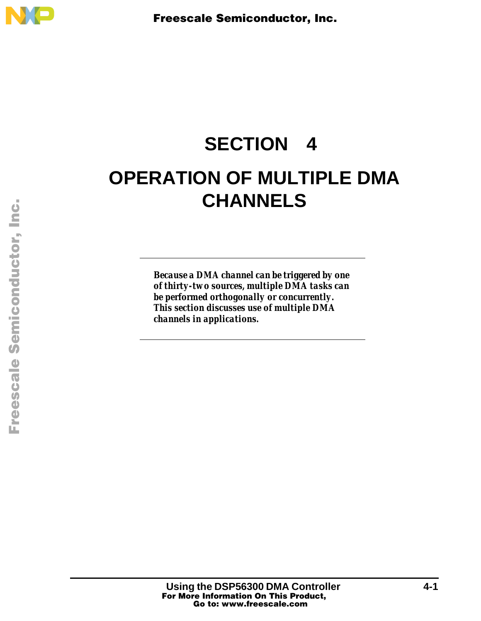<span id="page-29-0"></span>

# **SECTION 4 OPERATION OF MULTIPLE DMA CHANNELS**

*Because a DMA channel can be triggered by one of thirty-two sources, multiple DMA tasks can be performed orthogonally or concurrently. This section discusses use of multiple DMA channels in applications.*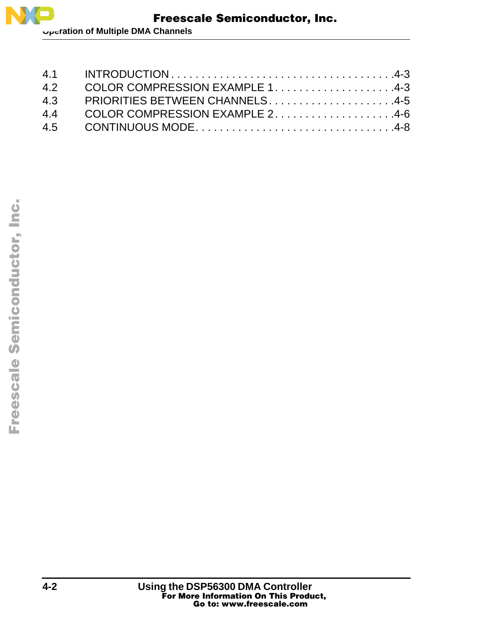| 4.3 PRIORITIES BETWEEN CHANNELS4-5 |  |
|------------------------------------|--|
|                                    |  |
| 4.5 CONTINUOUS MODE4-8             |  |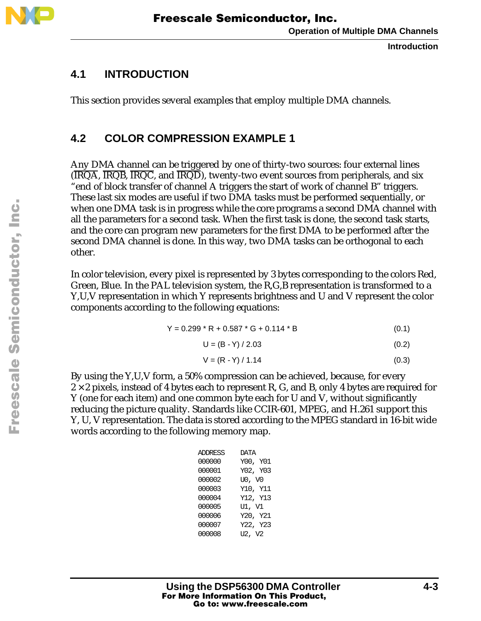<span id="page-31-0"></span>

# **4.1 INTRODUCTION**

This section provides several examples that employ multiple DMA channels.

## **4.2 COLOR COMPRESSION EXAMPLE 1**

Any DMA channel can be triggered by one of thirty-two sources: four external lines  $(\overline{IRQA}, \overline{IRQB}, \overline{IRQC}, \overline{ARQD})$ , twenty-two event sources from peripherals, and six "end of block transfer of channel A triggers the start of work of channel B" triggers. These last six modes are useful if two DMA tasks must be performed sequentially, or when one DMA task is in progress while the core programs a second DMA channel with all the parameters for a second task. When the first task is done, the second task starts, and the core can program new parameters for the first DMA to be performed after the second DMA channel is done. In this way, two DMA tasks can be orthogonal to each other.

In color television, every pixel is represented by 3 bytes corresponding to the colors Red, Green, Blue. In the PAL television system, the R,G,B representation is transformed to a Y,U,V representation in which Y represents brightness and U and V represent the color components according to the following equations:

 $Y = 0.299 * R + 0.587 * G + 0.114 * B$  (0.1)

$$
U = (B - Y) / 2.03 \tag{0.2}
$$

$$
V = (R - Y) / 1.14
$$
 (0.3)

By using the Y,U,V form, a 50% compression can be achieved, because, for every  $2 \times 2$  pixels, instead of 4 bytes each to represent R, G, and B, only 4 bytes are required for Y (one for each item) and one common byte each for U and V, without significantly reducing the picture quality. Standards like CCIR-601, MPEG, and H.261 support this Y, U, V representation. The data is stored according to the MPEG standard in 16-bit wide words according to the following memory map.

| <b>ADDRESS</b> | <b>DATA</b> |
|----------------|-------------|
| 000000         | Y00, Y01    |
| 000001         | Y02, Y03    |
| 000002         | U0, V0      |
| 000003         | Y10, Y11    |
| 000004         | Y12, Y13    |
| 000005         | UI. V1      |
| 000006         | Y20, Y21    |
| 000007         | Y22, Y23    |
| 000008         | U2, V2      |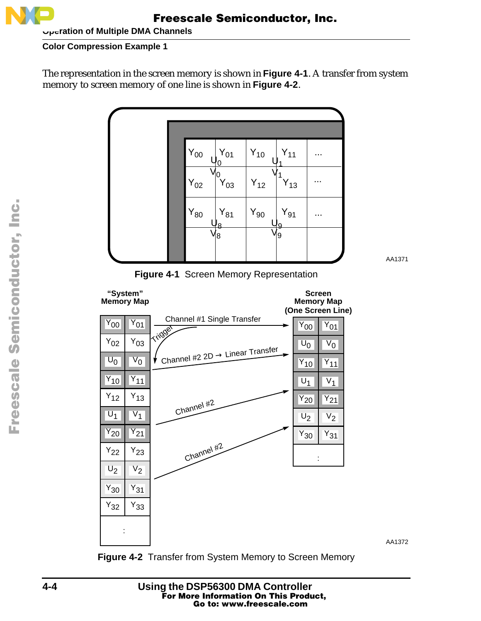<span id="page-32-0"></span>

**Operation of Multiple DMA Channels**

#### **Color Compression Example 1**

The representation in the screen memory is shown in **Figure 4-1**. A transfer from system memory to screen memory of one line is shown in **Figure 4-2**.



AA1371

AA1372

**Figure 4-1** Screen Memory Representation



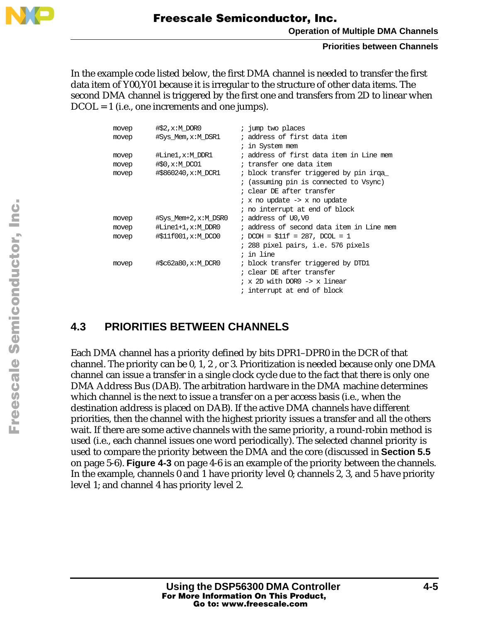<span id="page-33-0"></span>

In the example code listed below, the first DMA channel is needed to transfer the first data item of Y00,Y01 because it is irregular to the structure of other data items. The second DMA channel is triggered by the first one and transfers from 2D to linear when DCOL = 1 (i.e., one increments and one jumps).

| movep | $\#$ \$2, $x:$ M DORO | ; jump two places                         |
|-------|-----------------------|-------------------------------------------|
| movep | #Sys Mem,x:M DSR1     | ; address of first data item              |
|       |                       | ; in System mem                           |
| movep | #Line1,x:M DDR1       | ; address of first data item in Line mem  |
| movep | $\#$ \$0, $x:$ M DCO1 | ; transfer one data item                  |
| movep | #\$860240,x:M DCR1    | ; block transfer triggered by pin irga    |
|       |                       | ; (assuming pin is connected to Vsync)    |
|       |                       | ; clear DE after transfer                 |
|       |                       | ; x no update $\rightarrow$ x no update   |
|       |                       | ; no interrupt at end of block            |
| movep | #Sys Mem+2,x:M DSR0   | ; address of U0,V0                        |
| movep | #Line1+1,x:M DDR0     | ; address of second data item in Line mem |
| movep | #\$11f001,x:M DCO0    | ; DCOH = \$11f = 287, DCOL = 1            |
|       |                       | ; 288 pixel pairs, i.e. 576 pixels        |
|       |                       | ; in line                                 |
| movep | #\$c62a80,x:M DCR0    | ; block transfer triggered by DTD1        |
|       |                       | ; clear DE after transfer                 |
|       |                       | ; x 2D with DORO -> x linear              |
|       |                       | ; interrupt at end of block               |

## **4.3 PRIORITIES BETWEEN CHANNELS**

Each DMA channel has a priority defined by bits DPR1–DPR0 in the DCR of that channel. The priority can be 0, 1, 2 , or 3. Prioritization is needed because only one DMA channel can issue a transfer in a single clock cycle due to the fact that there is only one DMA Address Bus (DAB). The arbitration hardware in the DMA machine determines which channel is the next to issue a transfer on a per access basis (i.e., when the destination address is placed on DAB). If the active DMA channels have different priorities, then the channel with the highest priority issues a transfer and all the others wait. If there are some active channels with the same priority, a round-robin method is used (i.e., each channel issues one word periodically). The selected channel priority is used to compare the priority between the DMA and the core (discussed in **Section [5.5](#page-42-0)** [on page 5-6](#page-42-0)). **Figure 4-3** [on page 4-6](#page-34-0) is an example of the priority between the channels. In the example, channels 0 and 1 have priority level 0; channels 2, 3, and 5 have priority level 1; and channel 4 has priority level 2.

 $\boldsymbol{g}$  $\bf \Phi$ 

mic

o n d u  $\mathbf 0$ t o

r, I

n

.<br>ق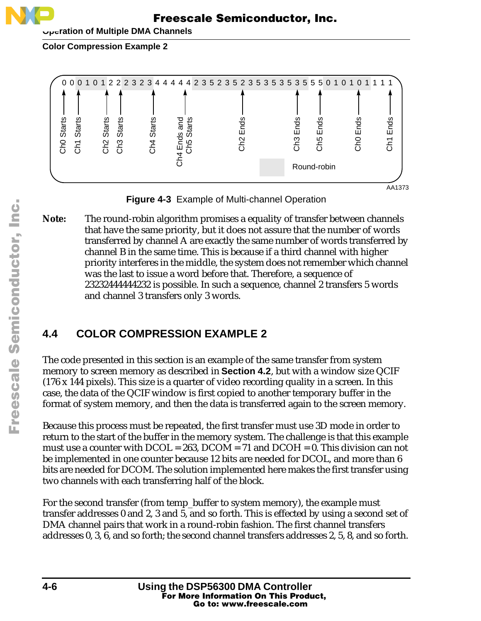<span id="page-34-0"></span>

# Freescale Semiconductor, Inc.

**Operation of Multiple DMA Channels**

#### **Color Compression Example 2**



**Figure 4-3** Example of Multi-channel Operation

**Note:** The round-robin algorithm promises a equality of transfer between channels that have the same priority, but it does not assure that the number of words transferred by channel A are exactly the same number of words transferred by channel B in the same time. This is because if a third channel with higher priority interferes in the middle, the system does not remember which channel was the last to issue a word before that. Therefore, a sequence of 23232444444232 is possible. In such a sequence, channel 2 transfers 5 words and channel 3 transfers only 3 words.

## **4.4 COLOR COMPRESSION EXAMPLE 2**

The code presented in this section is an example of the same transfer from system memory to screen memory as described in **Section [4.2](#page-31-0)**, but with a window size QCIF (176 x 144 pixels). This size is a quarter of video recording quality in a screen. In this case, the data of the QCIF window is first copied to another temporary buffer in the format of system memory, and then the data is transferred again to the screen memory.

Because this process must be repeated, the first transfer must use 3D mode in order to return to the start of the buffer in the memory system. The challenge is that this example must use a counter with  $DCOL = 263$ ,  $DCOM = 71$  and  $DCOH = 0$ . This division can not be implemented in one counter because 12 bits are needed for DCOL, and more than 6 bits are needed for DCOM. The solution implemented here makes the first transfer using two channels with each transferring half of the block.

For the second transfer (from temp\_buffer to system memory), the example must transfer addresses 0 and 2, 3 and 5, and so forth. This is effected by using a second set of DMA channel pairs that work in a round-robin fashion. The first channel transfers addresses 0, 3, 6, and so forth; the second channel transfers addresses 2, 5, 8, and so forth.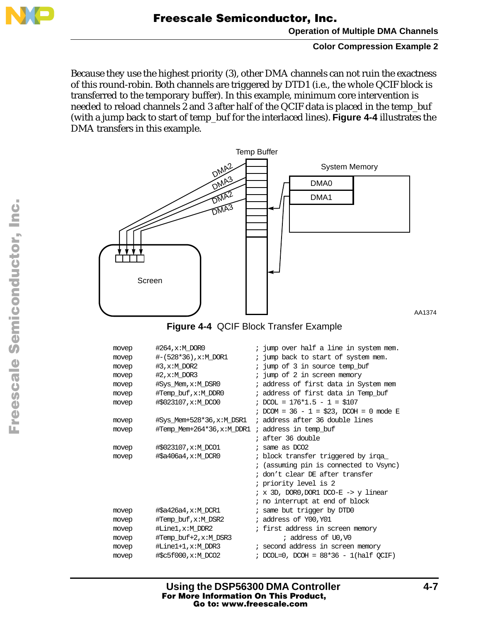<span id="page-35-0"></span>

Because they use the highest priority (3), other DMA channels can not ruin the exactness of this round-robin. Both channels are triggered by DTD1 (i.e., the whole QCIF block is transferred to the temporary buffer). In this example, minimum core intervention is needed to reload channels 2 and 3 after half of the QCIF data is placed in the temp\_buf (with a jump back to start of temp\_buf for the interlaced lines). **Figure 4-4** illustrates the DMA transfers in this example.





| movep | $\text{\#}264, \text{x}$ :MDORO                 | ; jump over half a line in system mem.     |
|-------|-------------------------------------------------|--------------------------------------------|
| movep | $\#$ (528*36), x:M DOR1                         | <i>i</i> jump back to start of system mem. |
| movep | #3, $x:M$ DOR2                                  | ; jump of 3 in source temp buf             |
| movep | #2, $x:M$ DOR3                                  | ; jump of 2 in screen memory               |
| movep | #Sys Mem,x:M DSR0                               | ; address of first data in System mem      |
| movep | #Temp buf,x:M DDR0                              | ; address of first data in Temp buf        |
| movep | #\$023107,x:M DCO0                              | ; DCOL = $176*1.5 - 1 = $107$              |
|       |                                                 | ; DCOM = $36 - 1 = $23$ , DCOH = 0 mode E  |
| movep | #Sys Mem+528*36,x:M DSR1                        | ; address after 36 double lines            |
| movep | #Temp Mem+264*36,x:M DDR1 ; address in temp buf |                                            |
|       |                                                 | ; after 36 double                          |
| movep | #\$023107,x:M DCO1                              | ; same as DCO2                             |
| movep | #\$a406a4,x:M DCR0                              | ; block transfer triggered by irga         |
|       |                                                 | ; (assuming pin is connected to Vsync)     |
|       |                                                 | ; don't clear DE after transfer            |
|       |                                                 | ; priority level is 2                      |
|       |                                                 | $: x 3D$ , DORO, DOR1 DCO-E -> y linear    |
|       |                                                 | ; no interrupt at end of block             |
| movep | #\$a426a4,x:M DCR1                              | ; same but trigger by DTD0                 |
| movep | #Temp buf, $x:M$ DSR2                           | ; address of Y00, Y01                      |
| movep | #Line1,x:M DDR2                                 | ; first address in screen memory           |
| movep | #Temp $but+2, x:M$ DSR3                         | ; address of U0, V0                        |
| movep | #Line1+1,x:M DDR3                               | ; second address in screen memory          |
| movep | #\$c5f000,x:M DCO2                              | ; DCOL=0, DCOH = $88*36 - 1$ (half QCIF)   |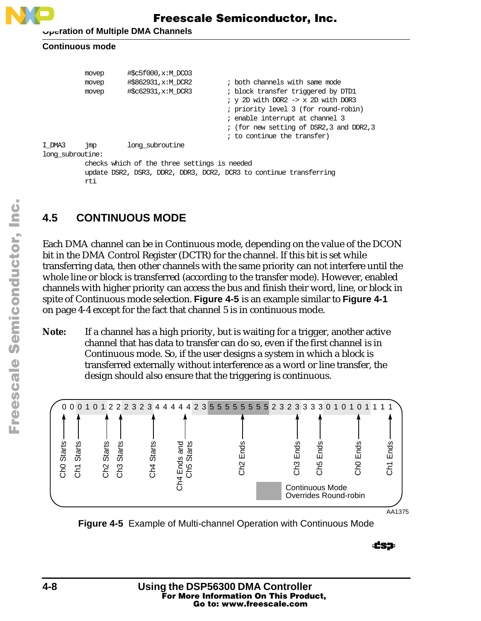<span id="page-36-0"></span>

#### **Continuous mode**

|                  | movep | #\$c5f000.x:MDCO3                            |                                                                    |
|------------------|-------|----------------------------------------------|--------------------------------------------------------------------|
|                  | movep | #\$862931, x:M DCR2                          | ; both channels with same mode                                     |
|                  | movep | #\$c62931,x:M DCR3                           | ; block transfer triggered by DTD1                                 |
|                  |       |                                              | $: y 2D$ with DOR2 $\rightarrow x 2D$ with DOR3                    |
|                  |       |                                              | ; priority level 3 (for round-robin)                               |
|                  |       |                                              | ; enable interrupt at channel 3                                    |
|                  |       |                                              | ; (for new setting of DSR2,3 and DDR2,3                            |
|                  |       |                                              | ; to continue the transfer)                                        |
| I DMA3           | TMIP  | long subroutine                              |                                                                    |
| long subroutine: |       |                                              |                                                                    |
|                  |       | checks which of the three settings is needed |                                                                    |
|                  |       |                                              | update DSR2, DSR3, DDR2, DDR3, DCR2, DCR3 to continue transferring |
|                  | rti   |                                              |                                                                    |

## **4.5 CONTINUOUS MODE**

Each DMA channel can be in Continuous mode, depending on the value of the DCON bit in the DMA Control Register (DCTR) for the channel. If this bit is set while transferring data, then other channels with the same priority can not interfere until the whole line or block is transferred (according to the transfer mode). However, enabled channels with higher priority can access the bus and finish their word, line, or block in spite of Continuous mode selection. **Figure 4-5** is an example similar to **[Figure 4-1](#page-32-0)** [on page 4-4](#page-32-0) except for the fact that channel 5 is in continuous mode.

**Note:** If a channel has a high priority, but is waiting for a trigger, another active channel that has data to transfer can do so, even if the first channel is in Continuous mode. So, if the user designs a system in which a block is transferred externally without interference as a word or line transfer, the design should also ensure that the triggering is continuous.



**Figure 4-5** Example of Multi-channel Operation with Continuous Mode

<del>ds:1</del>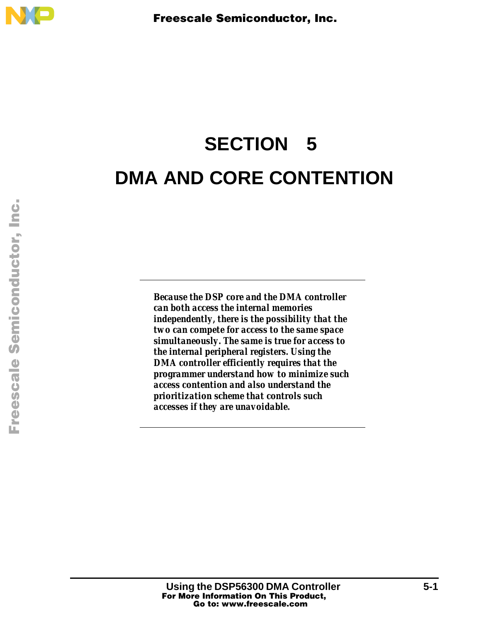<span id="page-37-0"></span>

# **SECTION 5 DMA AND CORE CONTENTION**

*Because the DSP core and the DMA controller can both access the internal memories independently, there is the possibility that the two can compete for access to the same space simultaneously. The same is true for access to the internal peripheral registers. Using the DMA controller efficiently requires that the programmer understand how to minimize such access contention and also understand the prioritization scheme that controls such accesses if they are unavoidable.*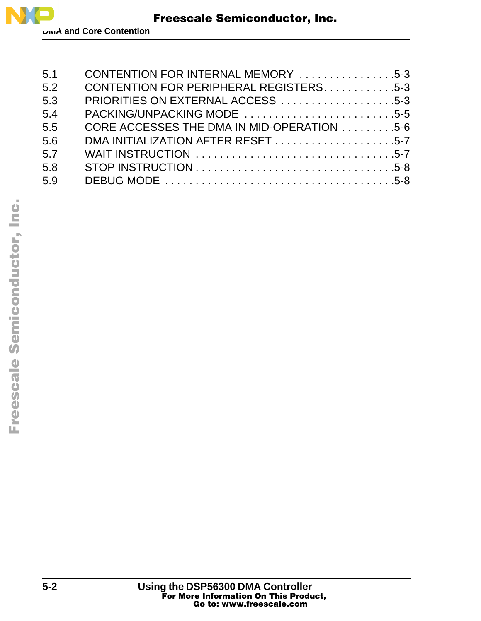| 5.1 | CONTENTION FOR INTERNAL MEMORY 5-3         |  |
|-----|--------------------------------------------|--|
| 5.2 | CONTENTION FOR PERIPHERAL REGISTERS. 5-3   |  |
| 5.3 | PRIORITIES ON EXTERNAL ACCESS 5-3          |  |
| 5.4 | PACKING/UNPACKING MODE 5-5                 |  |
| 5.5 | CORE ACCESSES THE DMA IN MID-OPERATION 5-6 |  |
| 5.6 |                                            |  |
| 5.7 |                                            |  |
| 5.8 |                                            |  |
| 5.9 |                                            |  |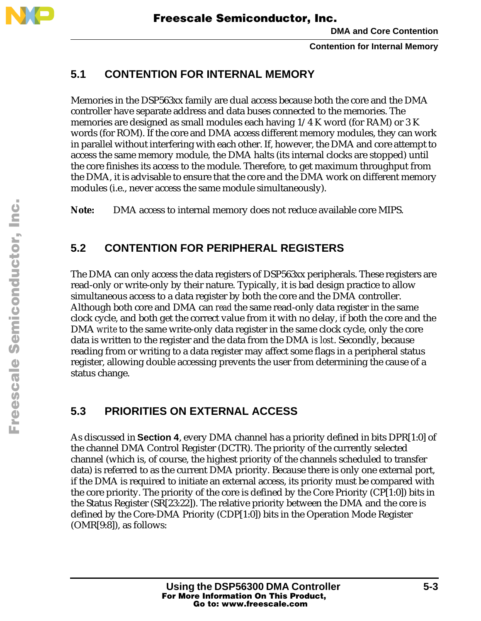<span id="page-39-0"></span>

## **5.1 CONTENTION FOR INTERNAL MEMORY**

Memories in the DSP563xx family are dual access because both the core and the DMA controller have separate address and data buses connected to the memories. The memories are designed as small modules each having 1/4 K word (for RAM) or 3 K words (for ROM). If the core and DMA access different memory modules, they can work in parallel without interfering with each other. If, however, the DMA and core attempt to access the same memory module, the DMA halts (its internal clocks are stopped) until the core finishes its access to the module. Therefore, to get maximum throughput from the DMA, it is advisable to ensure that the core and the DMA work on different memory modules (i.e., never access the same module simultaneously).

**Note:** DMA access to internal memory does not reduce available core MIPS.

## **5.2 CONTENTION FOR PERIPHERAL REGISTERS**

The DMA can only access the data registers of DSP563xx peripherals. These registers are read-only or write-only by their nature. Typically, it is bad design practice to allow simultaneous access to a data register by both the core and the DMA controller. Although both core and DMA can *read* the same read-only data register in the same clock cycle, and both get the correct value from it with no delay, if both the core and the DMA *write* to the same write-only data register in the same clock cycle, only the core data is written to the register and the data from the DMA *is lost*. Secondly, because reading from or writing to a data register may affect some flags in a peripheral status register, allowing double accessing prevents the user from determining the cause of a status change.

## **5.3 PRIORITIES ON EXTERNAL ACCESS**

As discussed in **Section 4**, every DMA channel has a priority defined in bits DPR[1:0] of the channel DMA Control Register (DCTR). The priority of the currently selected channel (which is, of course, the highest priority of the channels scheduled to transfer data) is referred to as the current DMA priority. Because there is only one external port, if the DMA is required to initiate an external access, its priority must be compared with the core priority. The priority of the core is defined by the Core Priority (CP[1:0]) bits in the Status Register (SR[23:22]). The relative priority between the DMA and the core is defined by the Core-DMA Priority (CDP[1:0]) bits in the Operation Mode Register  $(OMR[9:8])$ , as follows: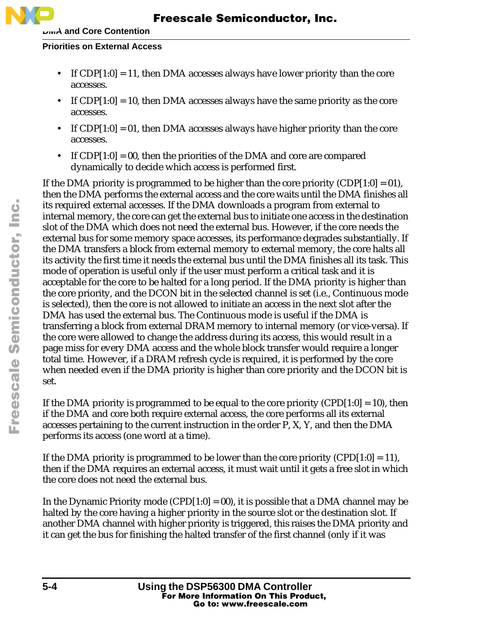

**DMA and Core Contention**

#### **Priorities on External Access**

- If CDP $[1:0] = 11$ , then DMA accesses always have lower priority than the core accesses.
- If CDP $[1:0] = 10$ , then DMA accesses always have the same priority as the core accesses.
- If  $CDP[1:0] = 01$ , then DMA accesses always have higher priority than the core accesses.
- If CDP $[1:0] = 00$ , then the priorities of the DMA and core are compared dynamically to decide which access is performed first.

If the DMA priority is programmed to be higher than the core priority  $(CDP[1:0] = 01)$ , then the DMA performs the external access and the core waits until the DMA finishes all its required external accesses. If the DMA downloads a program from external to internal memory, the core can get the external bus to initiate one access in the destination slot of the DMA which does not need the external bus. However, if the core needs the external bus for some memory space accesses, its performance degrades substantially. If the DMA transfers a block from external memory to external memory, the core halts all its activity the first time it needs the external bus until the DMA finishes all its task. This mode of operation is useful only if the user must perform a critical task and it is acceptable for the core to be halted for a long period. If the DMA priority is higher than the core priority, and the DCON bit in the selected channel is set (i.e., Continuous mode is selected), then the core is not allowed to initiate an access in the next slot after the DMA has used the external bus. The Continuous mode is useful if the DMA is transferring a block from external DRAM memory to internal memory (or vice-versa). If the core were allowed to change the address during its access, this would result in a page miss for every DMA access and the whole block transfer would require a longer total time. However, if a DRAM refresh cycle is required, it is performed by the core when needed even if the DMA priority is higher than core priority and the DCON bit is set.

If the DMA priority is programmed to be equal to the core priority  $(CPD[1:0] = 10)$ , then if the DMA and core both require external access, the core performs all its external accesses pertaining to the current instruction in the order P, X, Y, and then the DMA performs its access (one word at a time).

If the DMA priority is programmed to be lower than the core priority  $(CPD[1:0] = 11)$ , then if the DMA requires an external access, it must wait until it gets a free slot in which the core does not need the external bus.

In the Dynamic Priority mode  $(CPD[1:0] = 00)$ , it is possible that a DMA channel may be halted by the core having a higher priority in the source slot or the destination slot. If another DMA channel with higher priority is triggered, this raises the DMA priority and it can get the bus for finishing the halted transfer of the first channel (only if it was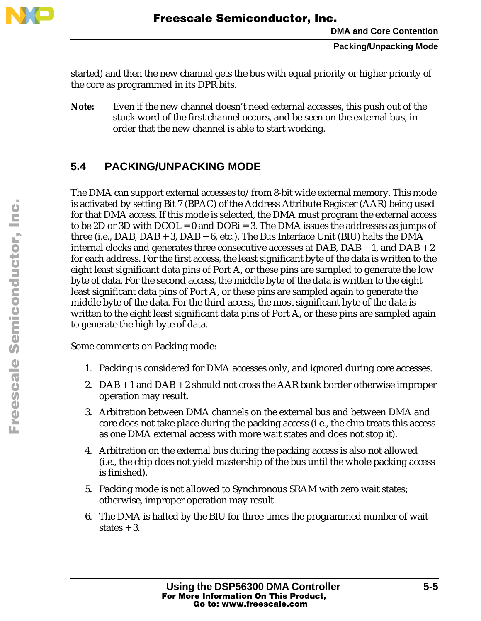<span id="page-41-0"></span>

#### **Packing/Unpacking Mode**

started) and then the new channel gets the bus with equal priority or higher priority of the core as programmed in its DPR bits.

**Note:** Even if the new channel doesn't need external accesses, this push out of the stuck word of the first channel occurs, and be seen on the external bus, in order that the new channel is able to start working.

### **5.4 PACKING/UNPACKING MODE**

The DMA can support external accesses to/from 8-bit wide external memory. This mode is activated by setting Bit 7 (BPAC) of the Address Attribute Register (AAR) being used for that DMA access. If this mode is selected, the DMA must program the external access to be 2D or 3D with DCOL = 0 and DORi = 3. The DMA issues the addresses as jumps of three (i.e.,  $DAB$ ,  $DAB + 3$ ,  $DAB + 6$ , etc.). The Bus Interface Unit (BIU) halts the DMA internal clocks and generates three consecutive accesses at DAB, DAB + 1, and DAB + 2 for each address. For the first access, the least significant byte of the data is written to the eight least significant data pins of Port A, or these pins are sampled to generate the low byte of data. For the second access, the middle byte of the data is written to the eight least significant data pins of Port A, or these pins are sampled again to generate the middle byte of the data. For the third access, the most significant byte of the data is written to the eight least significant data pins of Port A, or these pins are sampled again to generate the high byte of data.

Some comments on Packing mode:

- 1. Packing is considered for DMA accesses only, and ignored during core accesses.
- 2. DAB + 1 and DAB + 2 should not cross the AAR bank border otherwise improper operation may result.
- 3. Arbitration between DMA channels on the external bus and between DMA and core does not take place during the packing access (i.e., the chip treats this access as one DMA external access with more wait states and does not stop it).
- 4. Arbitration on the external bus during the packing access is also not allowed (i.e., the chip does not yield mastership of the bus until the whole packing access is finished).
- 5. Packing mode is not allowed to Synchronous SRAM with zero wait states; otherwise, improper operation may result.
- 6. The DMA is halted by the BIU for three times the programmed number of wait states  $+3$ .

F $\mathbf \Phi$  $\bf \Phi$  $\boldsymbol{\theta}$  $\mathbf 0$ 

ale

 $\boldsymbol{g}$  $\bf \Phi$ 

mic

o n d u  $\mathbf 0$ t o

r, I

n

.<br>ق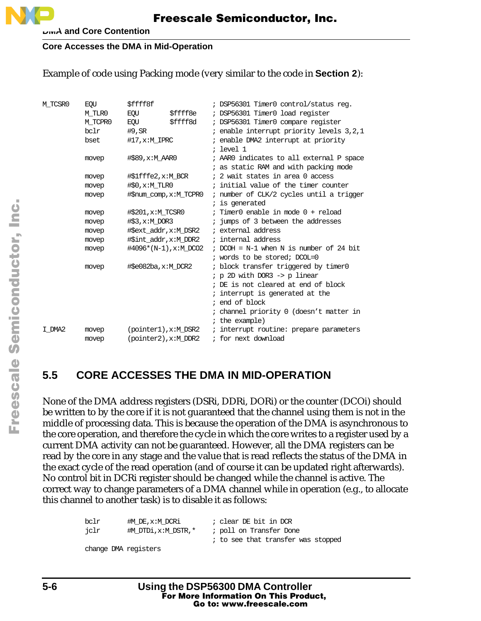<span id="page-42-0"></span>

**DMA and Core Contention**

#### **Core Accesses the DMA in Mid-Operation**

#### Example of code using Packing mode (very similar to the code in **Section 2**):

M\_TCSR0 EQU  $$$ ffff8f  $$$  ; DSP56301 Timer0 control/status reg. M\_TLR0 EQU \$ffff8e ; DSP56301 Timer0 load register M\_TCPR0 EQU \$ffff8d ; DSP56301 Timer0 compare register bclr  $\#9,$ SR  $\qquad \qquad$  ; enable interrupt priority levels 3,2,1 bset #17, x: M IPRC ; enable DMA2 interrupt at priority ; level 1 movep #\$89,x:M\_AAR0 ; AAR0 indicates to all external P space ; as static RAM and with packing mode movep #\$1fffe2,x:M\_BCR ; 2 wait states in area 0 access movep #\$0,x:M\_TLR0 ; initial value of the timer counter movep #\$num\_comp,x:M\_TCPR0 ; number of CLK/2 cycles until a trigger ; is generated movep #\$201,x:M\_TCSR0 ; Timer0 enable in mode 0 + reload movep  $\#$ \$3, $x:M$  DOR3  $\qquad i$  jumps of 3 between the addresses movep #\$ext\_addr,x:M\_DSR2 ; external address movep #\$int\_addr,x:M\_DDR2 ; internal address movep  $\#4096*(N-1), x:M\_DCO2$  ; DCOH = N-1 when N is number of 24 bit ; words to be stored; DCOL=0 movep #\$e082ba,x:M\_DCR2 ; block transfer triggered by timer0 ; p 2D with DOR3 -> p linear ; DE is not cleared at end of block ; interrupt is generated at the ; end of block ; channel priority 0 (doesn't matter in ; the example) I\_DMA2 movep (pointer1),x:M\_DSR2 ; interrupt routine: prepare parameters movep (pointer2), x:M\_DDR2 ; for next download

### **5.5 CORE ACCESSES THE DMA IN MID-OPERATION**

None of the DMA address registers (DSRi, DDRi, DORi) or the counter (DCOi) should be written to by the core if it is not guaranteed that the channel using them is not in the middle of processing data. This is because the operation of the DMA is asynchronous to the core operation, and therefore the cycle in which the core writes to a register used by a current DMA activity can not be guaranteed. However, all the DMA registers can be read by the core in any stage and the value that is read reflects the status of the DMA in the exact cycle of the read operation (and of course it can be updated right afterwards). No control bit in DCRi register should be changed while the channel is active. The correct way to change parameters of a DMA channel while in operation (e.g., to allocate this channel to another task) is to disable it as follows:

| bclr | #M DE, x:M DCRi            | ; clear DE bit in DCR              |
|------|----------------------------|------------------------------------|
| iclr | $#M$ DTDi, $x:M$ DSTR, $*$ | ; poll on Transfer Done            |
|      |                            | ; to see that transfer was stopped |

change DMA registers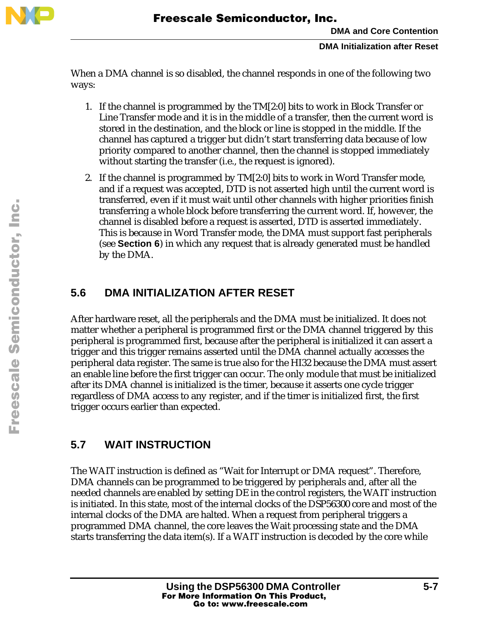<span id="page-43-0"></span>

 Freescale Semiconductor, Inc.

When a DMA channel is so disabled, the channel responds in one of the following two ways:

- 1. If the channel is programmed by the TM[2:0] bits to work in Block Transfer or Line Transfer mode and it is in the middle of a transfer, then the current word is stored in the destination, and the block or line is stopped in the middle. If the channel has captured a trigger but didn't start transferring data because of low priority compared to another channel, then the channel is stopped immediately without starting the transfer (i.e., the request is ignored).
- 2. If the channel is programmed by TM[2:0] bits to work in Word Transfer mode, and if a request was accepted, DTD is not asserted high until the current word is transferred, even if it must wait until other channels with higher priorities finish transferring a whole block before transferring the current word. If, however, the channel is disabled before a request is asserted, DTD is asserted immediately. This is because in Word Transfer mode, the DMA must support fast peripherals (see **Section 6**) in which any request that is already generated must be handled by the DMA.

## **5.6 DMA INITIALIZATION AFTER RESET**

After hardware reset, all the peripherals and the DMA must be initialized. It does not matter whether a peripheral is programmed first or the DMA channel triggered by this peripheral is programmed first, because after the peripheral is initialized it can assert a trigger and this trigger remains asserted until the DMA channel actually accesses the peripheral data register. The same is true also for the HI32 because the DMA must assert an enable line before the first trigger can occur. The only module that must be initialized after its DMA channel is initialized is the timer, because it asserts one cycle trigger regardless of DMA access to any register, and if the timer is initialized first, the first trigger occurs earlier than expected.

## **5.7 WAIT INSTRUCTION**

The WAIT instruction is defined as "Wait for Interrupt or DMA request". Therefore, DMA channels can be programmed to be triggered by peripherals and, after all the needed channels are enabled by setting DE in the control registers, the WAIT instruction is initiated. In this state, most of the internal clocks of the DSP56300 core and most of the internal clocks of the DMA are halted. When a request from peripheral triggers a programmed DMA channel, the core leaves the Wait processing state and the DMA starts transferring the data item(s). If a WAIT instruction is decoded by the core while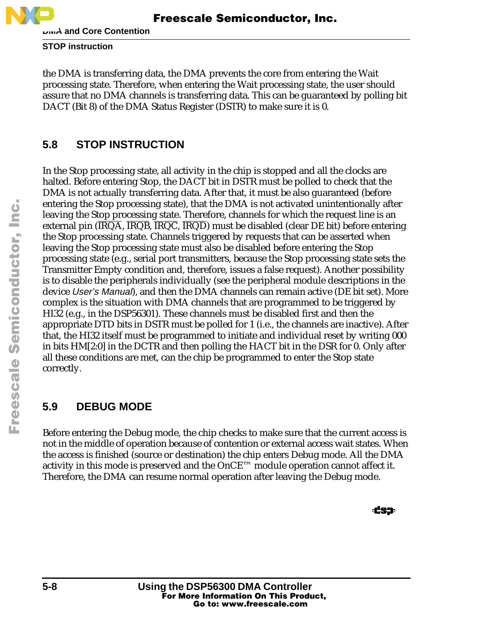<span id="page-44-0"></span>

#### **STOP instruction**

the DMA is transferring data, the DMA prevents the core from entering the Wait processing state. Therefore, when entering the Wait processing state, the user should assure that no DMA channels is transferring data. This can be guaranteed by polling bit DACT (Bit 8) of the DMA Status Register (DSTR) to make sure it is 0.

### **5.8 STOP INSTRUCTION**

In the Stop processing state, all activity in the chip is stopped and all the clocks are halted. Before entering Stop, the DACT bit in DSTR must be polled to check that the DMA is not actually transferring data. After that, it must be also guaranteed (before entering the Stop processing state), that the DMA is not activated unintentionally after leaving the Stop processing state. Therefore, channels for which the request line is an external pin  $(\overline{IRQA}, \overline{IRQB}, \overline{IRQC}, \overline{IRQD})$  must be disabled (clear DE bit) before entering the Stop processing state. Channels triggered by requests that can be asserted when leaving the Stop processing state must also be disabled before entering the Stop processing state (e.g., serial port transmitters, because the Stop processing state sets the Transmitter Empty condition and, therefore, issues a false request). Another possibility is to disable the peripherals individually (see the peripheral module descriptions in the device User's Manual), and then the DMA channels can remain active (DE bit set). More complex is the situation with DMA channels that are programmed to be triggered by HI32 (e.g., in the DSP56301). These channels must be disabled first and then the appropriate DTD bits in DSTR must be polled for 1 (i.e., the channels are inactive). After that, the HI32 itself must be programmed to initiate and individual reset by writing 000 in bits HM[2:0] in the DCTR and then polling the HACT bit in the DSR for 0. Only after all these conditions are met, can the chip be programmed to enter the Stop state correctly.

## **5.9 DEBUG MODE**

Before entering the Debug mode, the chip checks to make sure that the current access is not in the middle of operation because of contention or external access wait states. When the access is finished (source or destination) the chip enters Debug mode. All the DMA activity in this mode is preserved and the OnCE™ module operation cannot affect it. Therefore, the DMA can resume normal operation after leaving the Debug mode.

<del>ds:1</del>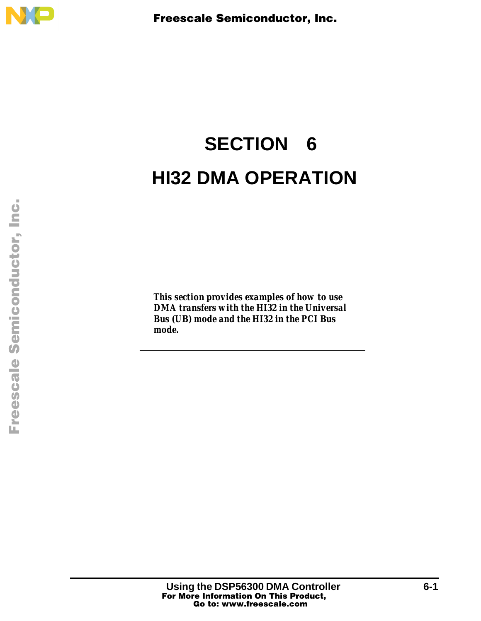<span id="page-45-0"></span>

# **SECTION 6 HI32 DMA OPERATION**

*This section provides examples of how to use DMA transfers with the HI32 in the Universal Bus (UB) mode and the HI32 in the PCI Bus mode.*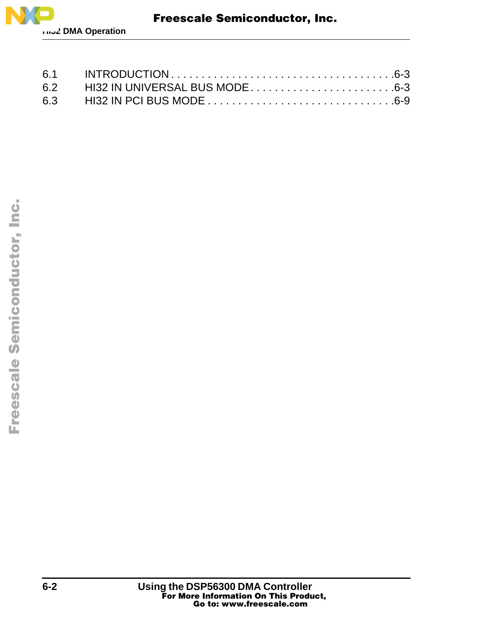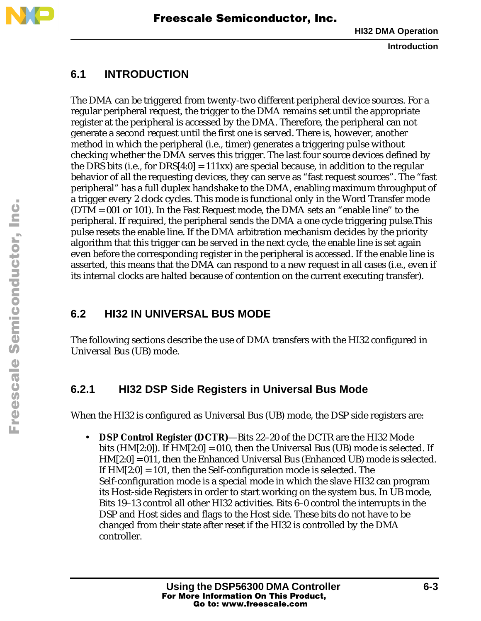<span id="page-47-0"></span>

**Introduction**

## **6.1 INTRODUCTION**

The DMA can be triggered from twenty-two different peripheral device sources. For a regular peripheral request, the trigger to the DMA remains set until the appropriate register at the peripheral is accessed by the DMA. Therefore, the peripheral can not generate a second request until the first one is served. There is, however, another method in which the peripheral (i.e., timer) generates a triggering pulse without checking whether the DMA serves this trigger. The last four source devices defined by the DRS bits (i.e., for  $DRS[4:0] = 111xx$ ) are special because, in addition to the regular behavior of all the requesting devices, they can serve as "fast request sources". The "fast peripheral" has a full duplex handshake to the DMA, enabling maximum throughput of a trigger every 2 clock cycles. This mode is functional only in the Word Transfer mode (DTM = 001 or 101). In the Fast Request mode, the DMA sets an "enable line" to the peripheral. If required, the peripheral sends the DMA a one cycle triggering pulse.This pulse resets the enable line. If the DMA arbitration mechanism decides by the priority algorithm that this trigger can be served in the next cycle, the enable line is set again even before the corresponding register in the peripheral is accessed. If the enable line is asserted, this means that the DMA can respond to a new request in all cases (i.e., even if its internal clocks are halted because of contention on the current executing transfer).

## **6.2 HI32 IN UNIVERSAL BUS MODE**

The following sections describe the use of DMA transfers with the HI32 configured in Universal Bus (UB) mode.

## **6.2.1 HI32 DSP Side Registers in Universal Bus Mode**

When the HI32 is configured as Universal Bus (UB) mode, the DSP side registers are:

• **DSP Control Register (DCTR)**—Bits 22–20 of the DCTR are the HI32 Mode bits (HM[2:0]). If  $HM[2:0] = 010$ , then the Universal Bus (UB) mode is selected. If HM[2:0] = 011, then the Enhanced Universal Bus (Enhanced UB) mode is selected. If HM[2:0] = 101, then the Self-configuration mode is selected. The Self-configuration mode is a special mode in which the slave HI32 can program its Host-side Registers in order to start working on the system bus. In UB mode, Bits 19–13 control all other HI32 activities. Bits 6–0 control the interrupts in the DSP and Host sides and flags to the Host side. These bits do not have to be changed from their state after reset if the HI32 is controlled by the DMA controller.

n

.<br>ق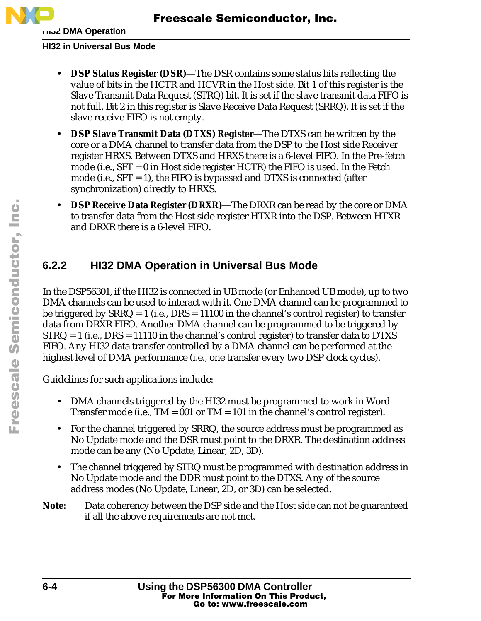<span id="page-48-0"></span>

**HI32 DMA Operation**

#### **HI32 in Universal Bus Mode**

- **DSP Status Register (DSR)**—The DSR contains some status bits reflecting the value of bits in the HCTR and HCVR in the Host side. Bit 1 of this register is the Slave Transmit Data Request (STRQ) bit. It is set if the slave transmit data FIFO is not full. Bit 2 in this register is Slave Receive Data Request (SRRQ). It is set if the slave receive FIFO is not empty.
- **DSP Slave Transmit Data (DTXS) Register**—The DTXS can be written by the core or a DMA channel to transfer data from the DSP to the Host side Receiver register HRXS. Between DTXS and HRXS there is a 6-level FIFO. In the Pre-fetch mode (i.e., SFT = 0 in Host side register HCTR) the FIFO is used. In the Fetch mode (i.e.,  $SFT = 1$ ), the FIFO is bypassed and DTXS is connected (after synchronization) directly to HRXS.
- **DSP Receive Data Register (DRXR)**—The DRXR can be read by the core or DMA to transfer data from the Host side register HTXR into the DSP. Between HTXR and DRXR there is a 6-level FIFO.

### **6.2.2 HI32 DMA Operation in Universal Bus Mode**

In the DSP56301, if the HI32 is connected in UB mode (or Enhanced UB mode), up to two DMA channels can be used to interact with it. One DMA channel can be programmed to be triggered by SRRQ = 1 (i.e., DRS = 11100 in the channel's control register) to transfer data from DRXR FIFO. Another DMA channel can be programmed to be triggered by  $STRQ = 1$  (i.e., DRS = 11110 in the channel's control register) to transfer data to DTXS FIFO. Any HI32 data transfer controlled by a DMA channel can be performed at the highest level of DMA performance (i.e., one transfer every two DSP clock cycles).

Guidelines for such applications include:

- DMA channels triggered by the HI32 must be programmed to work in Word Transfer mode (i.e., TM = 001 or TM = 101 in the channel's control register).
- For the channel triggered by SRRQ, the source address must be programmed as No Update mode and the DSR must point to the DRXR. The destination address mode can be any (No Update, Linear, 2D, 3D).
- The channel triggered by STRQ must be programmed with destination address in No Update mode and the DDR must point to the DTXS. Any of the source address modes (No Update, Linear, 2D, or 3D) can be selected.
- **Note:** Data coherency between the DSP side and the Host side can not be guaranteed if all the above requirements are not met.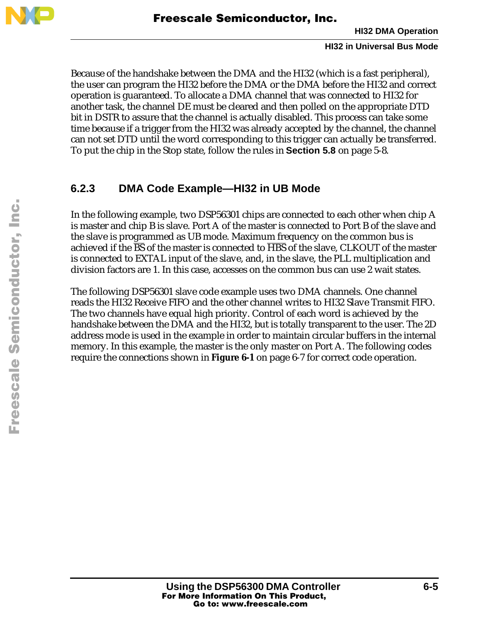<span id="page-49-0"></span>

#### **HI32 in Universal Bus Mode**

Because of the handshake between the DMA and the HI32 (which is a fast peripheral), the user can program the HI32 before the DMA or the DMA before the HI32 and correct operation is guaranteed. To allocate a DMA channel that was connected to HI32 for another task, the channel DE must be cleared and then polled on the appropriate DTD bit in DSTR to assure that the channel is actually disabled. This process can take some time because if a trigger from the HI32 was already accepted by the channel, the channel can not set DTD until the word corresponding to this trigger can actually be transferred. To put the chip in the Stop state, follow the rules in **Section 5.8** on page 5-8.

#### **6.2.3 DMA Code Example—HI32 in UB Mode**

In the following example, two DSP56301 chips are connected to each other when chip A is master and chip B is slave. Port A of the master is connected to Port B of the slave and the slave is programmed as UB mode. Maximum frequency on the common bus is achieved if the  $\overline{BS}$  of the master is connected to  $\overline{HBS}$  of the slave, CLKOUT of the master is connected to EXTAL input of the slave, and, in the slave, the PLL multiplication and division factors are 1. In this case, accesses on the common bus can use 2 wait states.

The following DSP56301 slave code example uses two DMA channels. One channel reads the HI32 Receive FIFO and the other channel writes to HI32 Slave Transmit FIFO. The two channels have equal high priority. Control of each word is achieved by the handshake between the DMA and the HI32, but is totally transparent to the user. The 2D address mode is used in the example in order to maintain circular buffers in the internal memory. In this example, the master is the only master on Port A. The following codes require the connections shown in **Figure 6-1** [on page 6-7](#page-51-0) for correct code operation.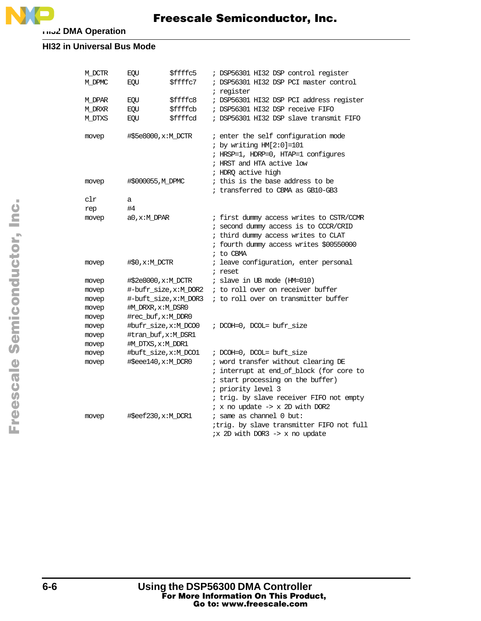

**HI32 DMA Operation**

#### **HI32 in Universal Bus Mode**

| M DCTR | EQU<br>\$ffffc5      | ; DSP56301 HI32 DSP control register         |
|--------|----------------------|----------------------------------------------|
| M DPMC | \$ffffc7<br>EQU      | ; DSP56301 HI32 DSP PCI master control       |
|        |                      | ; register                                   |
| M DPAR | \$ffffc8<br>EQU      | ; DSP56301 HI32 DSP PCI address register     |
| M DRXR | \$ffffcb<br>EQU      | ; DSP56301 HI32 DSP receive FIFO             |
| M DTXS | \$ffffcd<br>EQU      | ; DSP56301 HI32 DSP slave transmit FIFO      |
|        |                      | ; enter the self configuration mode          |
| movep  | #\$5e8000,x:M DCTR   | ; by writing $HM[2:0]=101$                   |
|        |                      | ; HRSP=1, HDRP=0, HTAP=1 configures          |
|        |                      | ; HRST and HTA active low                    |
|        |                      | ; HDRQ active high                           |
| movep  | #\$000055, M DPMC    | ; this is the base address to be             |
|        |                      | ; transferred to CBMA as GB10-GB3            |
| clr    | a                    |                                              |
| rep    | #4                   |                                              |
| movep  | a0,x:M_DPAR          | ; first dummy access writes to CSTR/CCMR     |
|        |                      | ; second dummy access is to CCCR/CRID        |
|        |                      | ; third dummy access writes to CLAT          |
|        |                      | ; fourth dummy access writes \$00550000      |
|        |                      | ; to CBMA                                    |
| movep  | #\$0,x:M_DCTR        | ; leave configuration, enter personal        |
|        |                      | ; reset                                      |
| movep  | #\$2e8000,x:M_DCTR   | ; slave in UB mode $(HM=010)$                |
| movep  | #-bufr_size,x:M_DOR2 | ; to roll over on receiver buffer            |
| movep  | #-buft_size,x:M_DOR3 | ; to roll over on transmitter buffer         |
| movep  | #M_DRXR, x: M_DSR0   |                                              |
| movep  | #rec_buf, x:M_DDR0   |                                              |
| movep  | #bufr size, x:M DCOO | ; DCOH=0, DCOL= bufr size                    |
| movep  | #tran_buf, x:M_DSR1  |                                              |
| movep  | #M DTXS, x:M DDR1    |                                              |
| movep  | #buft_size,x:M_DCO1  | ; DCOH=0, DCOL= buft size                    |
| movep  | #\$eee140,x:M_DCR0   | ; word transfer without clearing DE          |
|        |                      | ; interrupt at end_of_block (for core to     |
|        |                      | ; start processing on the buffer)            |
|        |                      | ; priority level 3                           |
|        |                      | ; trig. by slave receiver FIFO not empty     |
|        |                      | $: x$ no update $\rightarrow x$ 2D with DOR2 |
| movep  | #\$eef230,x:M_DCR1   | ; same as channel 0 but:                     |
|        |                      | itrig. by slave transmitter FIFO not full    |
|        |                      | $ix$ 2D with DOR3 $\rightarrow$ x no update  |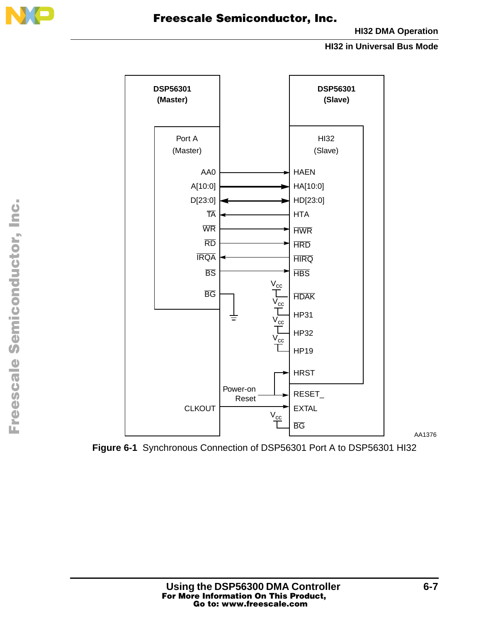<span id="page-51-0"></span>

**HI32 in Universal Bus Mode**



Fr  $\boldsymbol{\Phi}$  $\bf \Phi$  $\boldsymbol{\eta}$  $\mathbf 0$ ale  $\boldsymbol{g}$  $\bf \Phi$ mic o n d u  $\mathbf 0$ t o r, I n .<br>ق



AA1376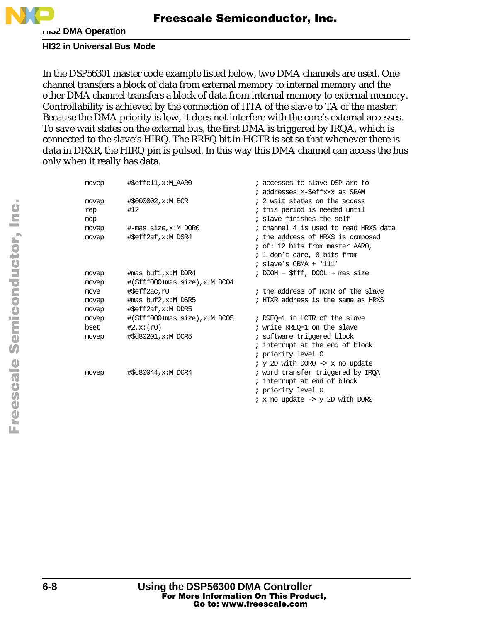

**HI32 DMA Operation**

#### **HI32 in Universal Bus Mode**

In the DSP56301 master code example listed below, two DMA channels are used. One channel transfers a block of data from external memory to internal memory and the other DMA channel transfers a block of data from internal memory to external memory. Controllability is achieved by the connection of HTA of the slave to  $\overline{TA}$  of the master. Because the DMA priority is low, it does not interfere with the core's external accesses. To save wait states on the external bus, the first DMA is triggered by  $\overline{\text{IRQA}}$ , which is connected to the slave's  $\overline{HIRQ}$ . The RREQ bit in HCTR is set so that whenever there is data in DRXR, the  $\overline{\text{HIRQ}}$  pin is pulsed. In this way this DMA channel can access the bus only when it really has data.

| movep | #\$effc11,x:M AARO                              | ; accesses to slave DSP are to               |
|-------|-------------------------------------------------|----------------------------------------------|
|       |                                                 | ; addresses X-\$effxxx as SRAM               |
| movep | #\$000002,x:M BCR                               | ; 2 wait states on the access                |
| rep   | #12                                             | ; this period is needed until                |
| nop   |                                                 | ; slave finishes the self                    |
| movep | #-mas size, x:M DORO                            | ; channel 4 is used to read HRXS data        |
| movep | #\$eff2af,x:M DSR4                              | ; the address of HRXS is composed            |
|       |                                                 | ; of: 12 bits from master AARO,              |
|       |                                                 | ; 1 don't care, 8 bits from                  |
|       |                                                 | ; slave's CBMA + $'111'$                     |
| movep | $\frac{1}{2}$ and $\frac{1}{2}$ buf1, x: M DDR4 | ; DCOH = $$fff, DCOL = mas size$             |
| movep | $\#$ (\$fff000+mas size), $x:M$ DCO4            |                                              |
| move  | #\$eff2ac,r0                                    | ; the address of HCTR of the slave           |
| movep | $\frac{1}{2}$ and $\frac{1}{2}$ , x:M DSR5      | ; HTXR address is the same as HRXS           |
| movep | #\$eff2af,x:M DDR5                              |                                              |
| movep | $\#$ (\$fff000+mas size), $x:M$ DCO5            | ; RREO=1 in HCTR of the slave                |
| bset  | #2, x: (r0)                                     | ; write RREO=1 on the slave                  |
| movep | #\$d80201,x:M DCR5                              | ; software triggered block                   |
|       |                                                 | ; interrupt at the end of block              |
|       |                                                 | ; priority level 0                           |
|       |                                                 | $: y 2D$ with DORO $\rightarrow x$ no update |
| movep | #\$c80044,x:M DCR4                              | ; word transfer triggered by IRQA            |
|       |                                                 | ; interrupt at end of block                  |
|       |                                                 | ; priority level 0                           |
|       |                                                 | $: x$ no update $\rightarrow y$ 2D with DORO |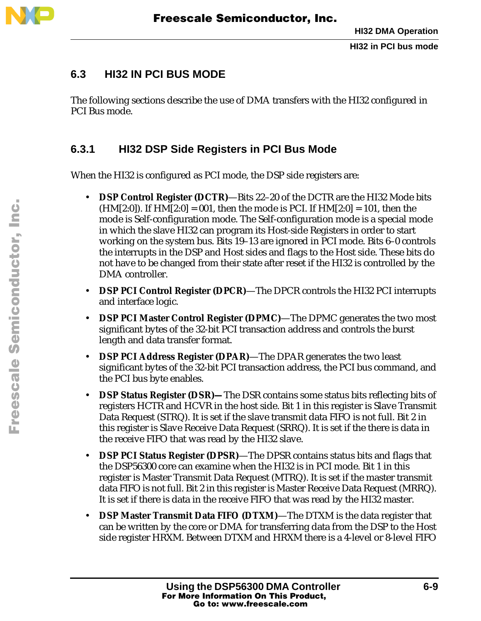<span id="page-53-0"></span>

### **6.3 HI32 IN PCI BUS MODE**

The following sections describe the use of DMA transfers with the HI32 configured in PCI Bus mode.

### **6.3.1 HI32 DSP Side Registers in PCI Bus Mode**

When the HI32 is configured as PCI mode, the DSP side registers are:

- **DSP Control Register (DCTR)**—Bits 22–20 of the DCTR are the HI32 Mode bits  $(HM[2:0])$ . If  $HM[2:0] = 001$ , then the mode is PCI. If  $HM[2:0] = 101$ , then the mode is Self-configuration mode. The Self-configuration mode is a special mode in which the slave HI32 can program its Host-side Registers in order to start working on the system bus. Bits 19–13 are ignored in PCI mode. Bits 6–0 controls the interrupts in the DSP and Host sides and flags to the Host side. These bits do not have to be changed from their state after reset if the HI32 is controlled by the DMA controller.
- **DSP PCI Control Register (DPCR)**—The DPCR controls the HI32 PCI interrupts and interface logic.
- **DSP PCI Master Control Register (DPMC)**—The DPMC generates the two most significant bytes of the 32-bit PCI transaction address and controls the burst length and data transfer format.
- **DSP PCI Address Register (DPAR)**—The DPAR generates the two least significant bytes of the 32-bit PCI transaction address, the PCI bus command, and the PCI bus byte enables.
- **DSP Status Register (DSR)—**The DSR contains some status bits reflecting bits of registers HCTR and HCVR in the host side. Bit 1 in this register is Slave Transmit Data Request (STRQ). It is set if the slave transmit data FIFO is not full. Bit 2 in this register is Slave Receive Data Request (SRRQ). It is set if the there is data in the receive FIFO that was read by the HI32 slave.
- **DSP PCI Status Register (DPSR)**—The DPSR contains status bits and flags that the DSP56300 core can examine when the HI32 is in PCI mode. Bit 1 in this register is Master Transmit Data Request (MTRQ). It is set if the master transmit data FIFO is not full. Bit 2 in this register is Master Receive Data Request (MRRQ). It is set if there is data in the receive FIFO that was read by the HI32 master.
- **DSP Master Transmit Data FIFO (DTXM)**—The DTXM is the data register that can be written by the core or DMA for transferring data from the DSP to the Host side register HRXM. Between DTXM and HRXM there is a 4-level or 8-level FIFO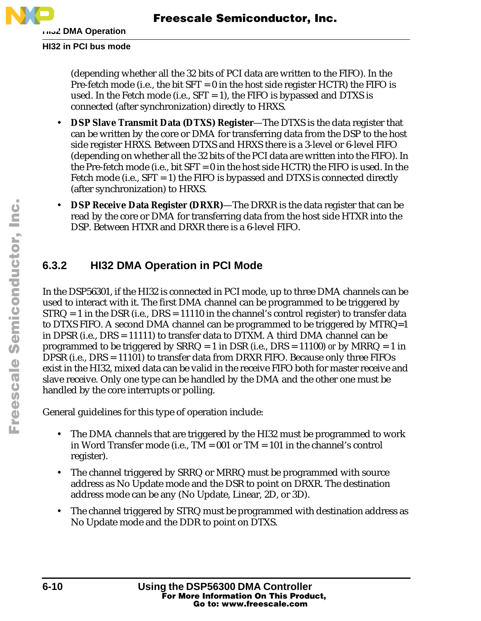<span id="page-54-0"></span>

#### **HI32 in PCI bus mode**

(depending whether all the 32 bits of PCI data are written to the FIFO). In the Pre-fetch mode (i.e., the bit  $SFT = 0$  in the host side register HCTR) the FIFO is used. In the Fetch mode (i.e.,  $SFT = 1$ ), the FIFO is bypassed and DTXS is connected (after synchronization) directly to HRXS.

- **DSP Slave Transmit Data (DTXS) Register**—The DTXS is the data register that can be written by the core or DMA for transferring data from the DSP to the host side register HRXS. Between DTXS and HRXS there is a 3-level or 6-level FIFO (depending on whether all the 32 bits of the PCI data are written into the FIFO). In the Pre-fetch mode (i.e., bit SFT = 0 in the host side HCTR) the FIFO is used. In the Fetch mode (i.e.,  $SFT = 1$ ) the FIFO is bypassed and DTXS is connected directly (after synchronization) to HRXS.
- **DSP Receive Data Register (DRXR)**—The DRXR is the data register that can be read by the core or DMA for transferring data from the host side HTXR into the DSP. Between HTXR and DRXR there is a 6-level FIFO.

#### **6.3.2 HI32 DMA Operation in PCI Mode**

In the DSP56301, if the HI32 is connected in PCI mode, up to three DMA channels can be used to interact with it. The first DMA channel can be programmed to be triggered by  $STRQ = 1$  in the DSR (i.e., DRS = 11110 in the channel's control register) to transfer data to DTXS FIFO. A second DMA channel can be programmed to be triggered by MTRQ=1 in DPSR (i.e., DRS = 11111) to transfer data to DTXM. A third DMA channel can be programmed to be triggered by SRRQ = 1 in DSR (i.e., DRS = 11100) *or* by MRRQ = 1 in DPSR (i.e., DRS = 11101) to transfer data from DRXR FIFO. Because only three FIFOs exist in the HI32, mixed data can be valid in the receive FIFO both for master receive and slave receive. Only one type can be handled by the DMA and the other one must be handled by the core interrupts or polling.

General guidelines for this type of operation include:

- The DMA channels that are triggered by the HI32 must be programmed to work in Word Transfer mode (i.e.,  $TM = 001$  or  $TM = 101$  in the channel's control register).
- The channel triggered by SRRQ or MRRQ must be programmed with source address as No Update mode and the DSR to point on DRXR. The destination address mode can be any (No Update, Linear, 2D, or 3D).
- The channel triggered by STRQ must be programmed with destination address as No Update mode and the DDR to point on DTXS.

u  $\mathbf 0$ t o

r, I

n

.<br>ق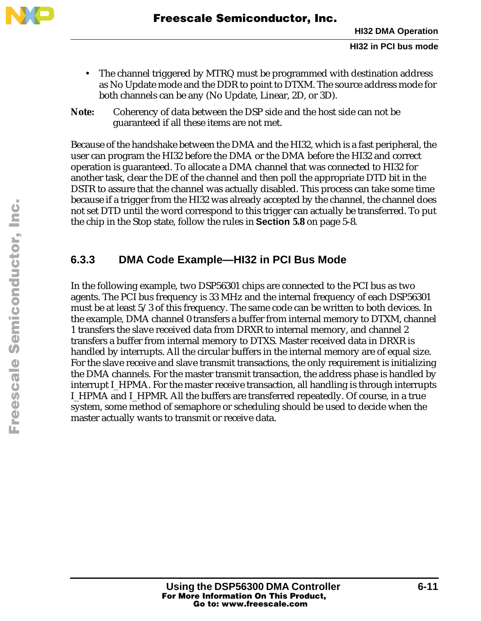<span id="page-55-0"></span>

- The channel triggered by MTRQ must be programmed with destination address as No Update mode and the DDR to point to DTXM. The source address mode for both channels can be any (No Update, Linear, 2D, or 3D).
- **Note:** Coherency of data between the DSP side and the host side can not be guaranteed if all these items are not met.

Because of the handshake between the DMA and the HI32, which is a fast peripheral, the user can program the HI32 before the DMA or the DMA before the HI32 and correct operation is guaranteed. To allocate a DMA channel that was connected to HI32 for another task, clear the DE of the channel and then poll the appropriate DTD bit in the DSTR to assure that the channel was actually disabled. This process can take some time because if a trigger from the HI32 was already accepted by the channel, the channel does not set DTD until the word correspond to this trigger can actually be transferred. To put the chip in the Stop state, follow the rules in **Section 5.8** [on page 5-8.](#page-44-0)

### **6.3.3 DMA Code Example—HI32 in PCI Bus Mode**

In the following example, two DSP56301 chips are connected to the PCI bus as two agents. The PCI bus frequency is 33 MHz and the internal frequency of each DSP56301 must be at least 5/3 of this frequency. The same code can be written to both devices. In the example, DMA channel 0 transfers a buffer from internal memory to DTXM, channel 1 transfers the slave received data from DRXR to internal memory, and channel 2 transfers a buffer from internal memory to DTXS. Master received data in DRXR is handled by interrupts. All the circular buffers in the internal memory are of equal size. For the slave receive and slave transmit transactions, the only requirement is initializing the DMA channels. For the master transmit transaction, the address phase is handled by interrupt I HPMA. For the master receive transaction, all handling is through interrupts I\_HPMA and I\_HPMR. All the buffers are transferred repeatedly. Of course, in a true system, some method of semaphore or scheduling should be used to decide when the master actually wants to transmit or receive data.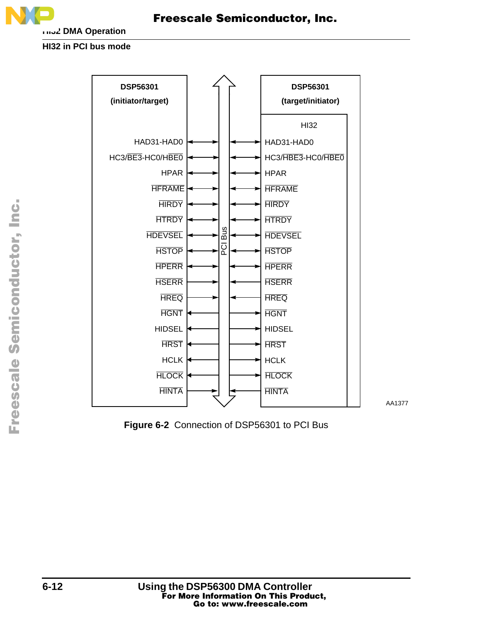<span id="page-56-0"></span>

**HI32 DMA Operation**

#### **HI32 in PCI bus mode**



**Figure 6-2** Connection of DSP56301 to PCI Bus

AA1377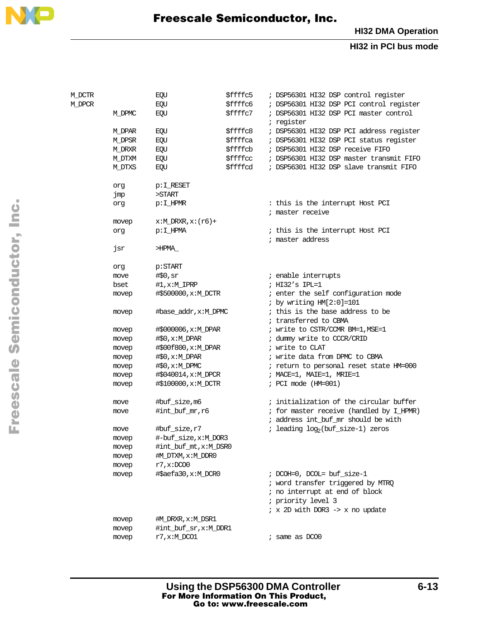

# Freescale Semiconductor, Inc.

**HI32 in PCI bus mode**

| M DCTR |        | EQU                  | \$ffffc5 | ; DSP56301 HI32 DSP control register                 |
|--------|--------|----------------------|----------|------------------------------------------------------|
| M DPCR |        | EQU                  | \$ffffc6 | ; DSP56301 HI32 DSP PCI control register             |
|        | M_DPMC | EQU                  | \$ffffc7 | ; DSP56301 HI32 DSP PCI master control               |
|        |        |                      |          | ; register                                           |
|        | M_DPAR | EQU                  | \$ffffc8 | ; DSP56301 HI32 DSP PCI address register             |
|        | M DPSR | EQU                  | \$ffffca | ; DSP56301 HI32 DSP PCI status register              |
|        | M DRXR | EQU                  | \$ffffcb | ; DSP56301 HI32 DSP receive FIFO                     |
|        | M_DTXM | EQU                  | \$ffffcc | ; DSP56301 HI32 DSP master transmit FIFO             |
|        | M DTXS | EQU                  | \$ffffcd | ; DSP56301 HI32 DSP slave transmit FIFO              |
|        | org    | p: I_RESET           |          |                                                      |
|        | jmp    | >START               |          |                                                      |
|        | org    | p:I_HPMR             |          | : this is the interrupt Host PCI<br>; master receive |
|        | movep  | $x:M\_DRXR, x:(r6)+$ |          |                                                      |
|        | org    | p:I_HPMA             |          | ; this is the interrupt Host PCI                     |
|        | jsr    | >HPMA                |          | ; master address                                     |
|        |        |                      |          |                                                      |
|        | org    | p:START              |          |                                                      |
|        | move   | $\sharp$ \$0, $sr$   |          | ; enable interrupts                                  |
|        | bset   | #1,x:M IPRP          |          | ; HI32's IPL=1                                       |
|        | movep  | #\$500000,x:M_DCTR   |          | ; enter the self configuration mode                  |
|        |        |                      |          | ; by writing $HM[2:0]=101$                           |
|        | movep  | #base addr, x:M DPMC |          | ; this is the base address to be                     |
|        |        |                      |          | ; transferred to CBMA                                |
|        | movep  | #\$000006,x:M DPAR   |          | ; write to CSTR/COMR BM=1, MSE=1                     |
|        | movep  | #\$0,x:M DPAR        |          | ; dummy write to CCCR/CRID                           |
|        | movep  | #\$00f800,x:M_DPAR   |          | ; write to CLAT                                      |
|        | movep  | #\$0,x:M_DPAR        |          | ; write data from DPMC to CBMA                       |
|        | movep  | #\$0,x:M DPMC        |          | ; return to personal reset state HM=000              |
|        | movep  | #\$040014, x: M_DPCR |          | ; MACE=1, MAIE=1, MRIE=1                             |
|        | movep  | #\$100000,x:M_DCTR   |          | $: PCI$ mode $(HM=001)$                              |
|        | move   | #buf size, m6        |          | ; initialization of the circular buffer              |
|        | move   | #int_buf_mr,r6       |          | ; for master receive (handled by I_HPMR)             |
|        |        |                      |          | ; address int_buf_mr should be with                  |
|        | move   | #buf size,r7         |          | ; leading $log_2(buf\_size-1)$ zeros                 |
|        | movep  | #-buf_size,x:M_DOR3  |          |                                                      |
|        | movep  | #int_buf_mt,x:M_DSR0 |          |                                                      |
|        | movep  | #M_DTXM, x:M_DDR0    |          |                                                      |
|        | movep  | r7, x:DC00           |          |                                                      |
|        | movep  | #\$aefa30,x:M DCR0   |          | ; DCOH=0, DCOL= buf size-1                           |
|        |        |                      |          | ; word transfer triggered by MTRQ                    |
|        |        |                      |          | ; no interrupt at end of block                       |
|        |        |                      |          | ; priority level 3                                   |
|        |        |                      |          | $: x 2D$ with DOR3 -> x no update                    |
|        | movep  | #M_DRXR, x: M_DSR1   |          |                                                      |
|        | movep  | #int_buf_sr,x:M_DDR1 |          |                                                      |
|        | movep  | r7,x:M_DCO1          |          | ; same as DCO0                                       |

o n d u  $\mathbf 0$ t o

r, I

n

.<br>ق

## Using the DSP56300 DMA Controller **6-13** For More Information On This Product, Go to: www.freescale.com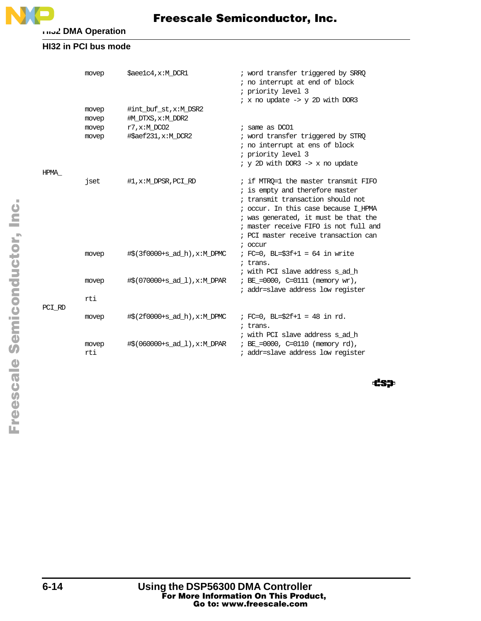

**HI32 DMA Operation**

#### **HI32 in PCI bus mode**

|        | movep          | \$aeelc4,x:M DCR1                         | ; word transfer triggered by SRRQ<br>; no interrupt at end of block<br>; priority level 3<br>$: x$ no update $\rightarrow$ y 2D with DOR3                                                                                                                                                       |
|--------|----------------|-------------------------------------------|-------------------------------------------------------------------------------------------------------------------------------------------------------------------------------------------------------------------------------------------------------------------------------------------------|
|        | movep<br>movep | #int_buf_st,x:M_DSR2<br>#M DTXS, x:M DDR2 |                                                                                                                                                                                                                                                                                                 |
| HPMA   | movep<br>movep | $r7, x:M$ DCO2<br>#\$aef231,x:M_DCR2      | ; same as DCO1<br>; word transfer triggered by STRQ<br>; no interrupt at ens of block<br>; priority level 3<br>$i$ y 2D with DOR3 -> x no update                                                                                                                                                |
|        | jset           | #1,x:M DPSR, PCI RD                       | ; if MTRO=1 the master transmit FIFO<br>; is empty and therefore master<br>; transmit transaction should not<br><i>i</i> occur. In this case because I HPMA<br>; was generated, it must be that the<br>; master receive FIFO is not full and<br>; PCI master receive transaction can<br>; occur |
|        | movep          | $\sharp$ \$(3f0000+s ad h), $x:M$ DPMC    | ; FC=0, BL=\$3f+1 = 64 in write<br>; trans.<br>; with PCI slave address s ad h                                                                                                                                                                                                                  |
|        | movep<br>rti   | #\$(070000+s ad 1), $x:M$ DPAR            | ; BE $=0000$ , C=0111 (memory wr),<br>; addr=slave address low register                                                                                                                                                                                                                         |
| PCI RD |                |                                           |                                                                                                                                                                                                                                                                                                 |
|        | movep          | $\sharp$ \$(2f0000+s ad h), $x:M$ DPMC    | ; FC=0, BL=\$2f+1 = 48 in rd.<br>; trans.<br>; with PCI slave address s ad h                                                                                                                                                                                                                    |
|        | movep<br>rti   | #\$(060000+s ad 1), $x:M$ DPAR            | ; BE $=0000$ , C=0110 (memory rd),<br>; addr=slave address low register                                                                                                                                                                                                                         |

**dsp**